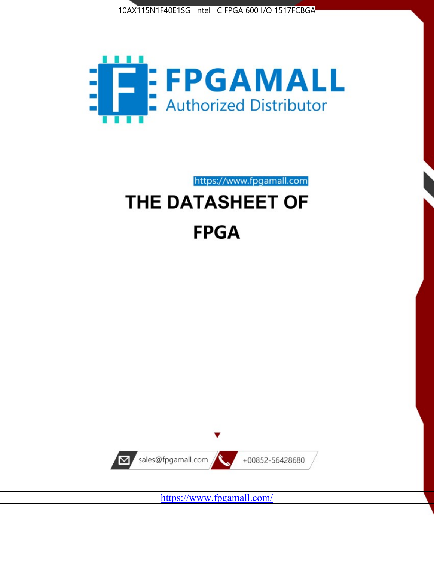



https://www.fpgamall.com

# THE DATASHEET OF **FPGA**



<https://www.fpgamall.com/>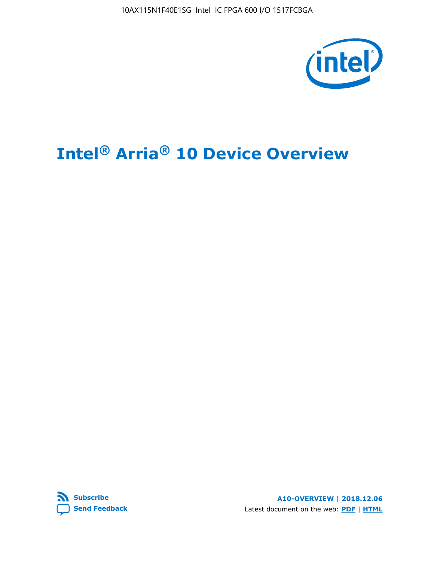10AX115N1F40E1SG Intel IC FPGA 600 I/O 1517FCBGA



# **Intel® Arria® 10 Device Overview**



**A10-OVERVIEW | 2018.12.06** Latest document on the web: **[PDF](https://www.intel.com/content/dam/www/programmable/us/en/pdfs/literature/hb/arria-10/a10_overview.pdf)** | **[HTML](https://www.intel.com/content/www/us/en/programmable/documentation/sam1403480274650.html)**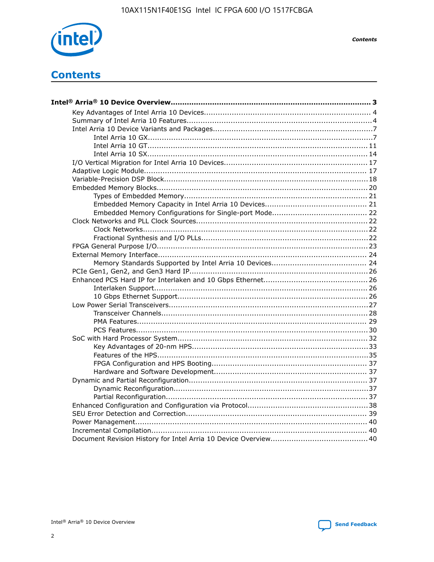

**Contents** 

# **Contents**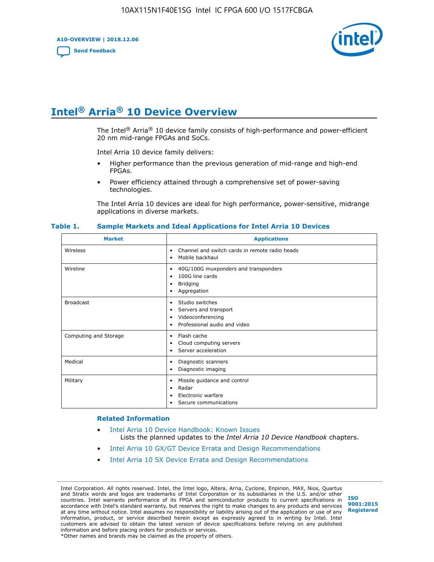**A10-OVERVIEW | 2018.12.06**

**[Send Feedback](mailto:FPGAtechdocfeedback@intel.com?subject=Feedback%20on%20Intel%20Arria%2010%20Device%20Overview%20(A10-OVERVIEW%202018.12.06)&body=We%20appreciate%20your%20feedback.%20In%20your%20comments,%20also%20specify%20the%20page%20number%20or%20paragraph.%20Thank%20you.)**



# **Intel® Arria® 10 Device Overview**

The Intel<sup>®</sup> Arria<sup>®</sup> 10 device family consists of high-performance and power-efficient 20 nm mid-range FPGAs and SoCs.

Intel Arria 10 device family delivers:

- Higher performance than the previous generation of mid-range and high-end FPGAs.
- Power efficiency attained through a comprehensive set of power-saving technologies.

The Intel Arria 10 devices are ideal for high performance, power-sensitive, midrange applications in diverse markets.

| <b>Market</b>         | <b>Applications</b>                                                                                               |
|-----------------------|-------------------------------------------------------------------------------------------------------------------|
| Wireless              | Channel and switch cards in remote radio heads<br>٠<br>Mobile backhaul<br>٠                                       |
| Wireline              | 40G/100G muxponders and transponders<br>٠<br>100G line cards<br>٠<br><b>Bridging</b><br>٠<br>Aggregation<br>٠     |
| <b>Broadcast</b>      | Studio switches<br>٠<br>Servers and transport<br>٠<br>Videoconferencing<br>٠<br>Professional audio and video<br>٠ |
| Computing and Storage | Flash cache<br>٠<br>Cloud computing servers<br>٠<br>Server acceleration<br>٠                                      |
| Medical               | Diagnostic scanners<br>٠<br>Diagnostic imaging<br>٠                                                               |
| Military              | Missile guidance and control<br>٠<br>Radar<br>٠<br>Electronic warfare<br>٠<br>Secure communications<br>٠          |

#### **Table 1. Sample Markets and Ideal Applications for Intel Arria 10 Devices**

#### **Related Information**

- [Intel Arria 10 Device Handbook: Known Issues](http://www.altera.com/support/kdb/solutions/rd07302013_646.html) Lists the planned updates to the *Intel Arria 10 Device Handbook* chapters.
- [Intel Arria 10 GX/GT Device Errata and Design Recommendations](https://www.intel.com/content/www/us/en/programmable/documentation/agz1493851706374.html#yqz1494433888646)
- [Intel Arria 10 SX Device Errata and Design Recommendations](https://www.intel.com/content/www/us/en/programmable/documentation/cru1462832385668.html#cru1462832558642)

Intel Corporation. All rights reserved. Intel, the Intel logo, Altera, Arria, Cyclone, Enpirion, MAX, Nios, Quartus and Stratix words and logos are trademarks of Intel Corporation or its subsidiaries in the U.S. and/or other countries. Intel warrants performance of its FPGA and semiconductor products to current specifications in accordance with Intel's standard warranty, but reserves the right to make changes to any products and services at any time without notice. Intel assumes no responsibility or liability arising out of the application or use of any information, product, or service described herein except as expressly agreed to in writing by Intel. Intel customers are advised to obtain the latest version of device specifications before relying on any published information and before placing orders for products or services. \*Other names and brands may be claimed as the property of others.

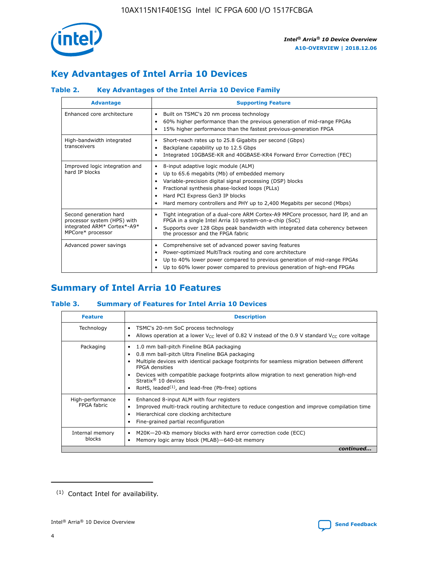

# **Key Advantages of Intel Arria 10 Devices**

# **Table 2. Key Advantages of the Intel Arria 10 Device Family**

| <b>Advantage</b>                                                                                          | <b>Supporting Feature</b>                                                                                                                                                                                                                                                                                                |
|-----------------------------------------------------------------------------------------------------------|--------------------------------------------------------------------------------------------------------------------------------------------------------------------------------------------------------------------------------------------------------------------------------------------------------------------------|
| Enhanced core architecture                                                                                | Built on TSMC's 20 nm process technology<br>٠<br>60% higher performance than the previous generation of mid-range FPGAs<br>٠<br>15% higher performance than the fastest previous-generation FPGA<br>٠                                                                                                                    |
| High-bandwidth integrated<br>transceivers                                                                 | Short-reach rates up to 25.8 Gigabits per second (Gbps)<br>٠<br>Backplane capability up to 12.5 Gbps<br>٠<br>Integrated 10GBASE-KR and 40GBASE-KR4 Forward Error Correction (FEC)<br>٠                                                                                                                                   |
| Improved logic integration and<br>hard IP blocks                                                          | 8-input adaptive logic module (ALM)<br>٠<br>Up to 65.6 megabits (Mb) of embedded memory<br>٠<br>Variable-precision digital signal processing (DSP) blocks<br>Fractional synthesis phase-locked loops (PLLs)<br>Hard PCI Express Gen3 IP blocks<br>Hard memory controllers and PHY up to 2,400 Megabits per second (Mbps) |
| Second generation hard<br>processor system (HPS) with<br>integrated ARM* Cortex*-A9*<br>MPCore* processor | Tight integration of a dual-core ARM Cortex-A9 MPCore processor, hard IP, and an<br>٠<br>FPGA in a single Intel Arria 10 system-on-a-chip (SoC)<br>Supports over 128 Gbps peak bandwidth with integrated data coherency between<br>$\bullet$<br>the processor and the FPGA fabric                                        |
| Advanced power savings                                                                                    | Comprehensive set of advanced power saving features<br>٠<br>Power-optimized MultiTrack routing and core architecture<br>٠<br>Up to 40% lower power compared to previous generation of mid-range FPGAs<br>Up to 60% lower power compared to previous generation of high-end FPGAs                                         |

# **Summary of Intel Arria 10 Features**

## **Table 3. Summary of Features for Intel Arria 10 Devices**

| <b>Feature</b>                  | <b>Description</b>                                                                                                                                                                                                                                                                                                                                                                                           |
|---------------------------------|--------------------------------------------------------------------------------------------------------------------------------------------------------------------------------------------------------------------------------------------------------------------------------------------------------------------------------------------------------------------------------------------------------------|
| Technology                      | TSMC's 20-nm SoC process technology<br>Allows operation at a lower $V_{\text{CC}}$ level of 0.82 V instead of the 0.9 V standard $V_{\text{CC}}$ core voltage                                                                                                                                                                                                                                                |
| Packaging                       | 1.0 mm ball-pitch Fineline BGA packaging<br>٠<br>0.8 mm ball-pitch Ultra Fineline BGA packaging<br>Multiple devices with identical package footprints for seamless migration between different<br><b>FPGA</b> densities<br>Devices with compatible package footprints allow migration to next generation high-end<br>Stratix <sup>®</sup> 10 devices<br>RoHS, leaded $(1)$ , and lead-free (Pb-free) options |
| High-performance<br>FPGA fabric | Enhanced 8-input ALM with four registers<br>Improved multi-track routing architecture to reduce congestion and improve compilation time<br>Hierarchical core clocking architecture<br>Fine-grained partial reconfiguration                                                                                                                                                                                   |
| Internal memory<br>blocks       | M20K-20-Kb memory blocks with hard error correction code (ECC)<br>Memory logic array block (MLAB)-640-bit memory                                                                                                                                                                                                                                                                                             |
|                                 | continued                                                                                                                                                                                                                                                                                                                                                                                                    |



<sup>(1)</sup> Contact Intel for availability.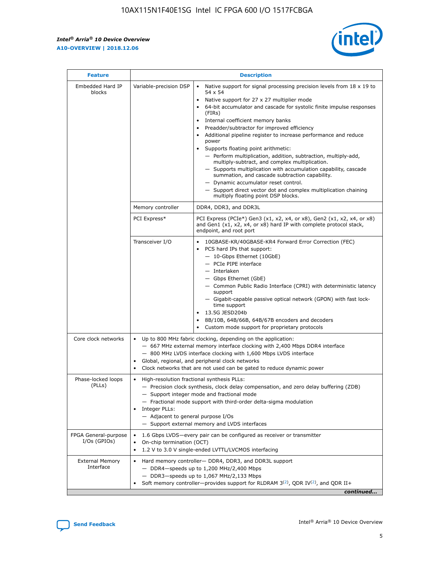$\mathsf{r}$ 



| <b>Feature</b>                         |                                                                                                                | <b>Description</b>                                                                                                                                                                                                                                                                                                                                                                                                                                                                                                                                                                                                                                                                                                                                                                                                                          |
|----------------------------------------|----------------------------------------------------------------------------------------------------------------|---------------------------------------------------------------------------------------------------------------------------------------------------------------------------------------------------------------------------------------------------------------------------------------------------------------------------------------------------------------------------------------------------------------------------------------------------------------------------------------------------------------------------------------------------------------------------------------------------------------------------------------------------------------------------------------------------------------------------------------------------------------------------------------------------------------------------------------------|
| Embedded Hard IP<br>blocks             | Variable-precision DSP                                                                                         | Native support for signal processing precision levels from $18 \times 19$ to<br>$\bullet$<br>54 x 54<br>Native support for 27 x 27 multiplier mode<br>64-bit accumulator and cascade for systolic finite impulse responses<br>(FIRs)<br>Internal coefficient memory banks<br>٠<br>Preadder/subtractor for improved efficiency<br>Additional pipeline register to increase performance and reduce<br>power<br>Supports floating point arithmetic:<br>- Perform multiplication, addition, subtraction, multiply-add,<br>multiply-subtract, and complex multiplication.<br>- Supports multiplication with accumulation capability, cascade<br>summation, and cascade subtraction capability.<br>- Dynamic accumulator reset control.<br>- Support direct vector dot and complex multiplication chaining<br>multiply floating point DSP blocks. |
|                                        | Memory controller                                                                                              | DDR4, DDR3, and DDR3L                                                                                                                                                                                                                                                                                                                                                                                                                                                                                                                                                                                                                                                                                                                                                                                                                       |
|                                        | PCI Express*                                                                                                   | PCI Express (PCIe*) Gen3 (x1, x2, x4, or x8), Gen2 (x1, x2, x4, or x8)<br>and Gen1 (x1, x2, x4, or x8) hard IP with complete protocol stack,<br>endpoint, and root port                                                                                                                                                                                                                                                                                                                                                                                                                                                                                                                                                                                                                                                                     |
|                                        | Transceiver I/O                                                                                                | 10GBASE-KR/40GBASE-KR4 Forward Error Correction (FEC)<br>PCS hard IPs that support:<br>- 10-Gbps Ethernet (10GbE)<br>- PCIe PIPE interface<br>- Interlaken<br>- Gbps Ethernet (GbE)<br>- Common Public Radio Interface (CPRI) with deterministic latency<br>support<br>- Gigabit-capable passive optical network (GPON) with fast lock-<br>time support<br>13.5G JESD204b<br>$\bullet$<br>8B/10B, 64B/66B, 64B/67B encoders and decoders<br>Custom mode support for proprietary protocols                                                                                                                                                                                                                                                                                                                                                   |
| Core clock networks                    | $\bullet$<br>$\bullet$                                                                                         | Up to 800 MHz fabric clocking, depending on the application:<br>- 667 MHz external memory interface clocking with 2,400 Mbps DDR4 interface<br>- 800 MHz LVDS interface clocking with 1,600 Mbps LVDS interface<br>Global, regional, and peripheral clock networks<br>Clock networks that are not used can be gated to reduce dynamic power                                                                                                                                                                                                                                                                                                                                                                                                                                                                                                 |
| Phase-locked loops<br>(PLLs)           | High-resolution fractional synthesis PLLs:<br>$\bullet$<br>Integer PLLs:<br>- Adjacent to general purpose I/Os | - Precision clock synthesis, clock delay compensation, and zero delay buffering (ZDB)<br>- Support integer mode and fractional mode<br>- Fractional mode support with third-order delta-sigma modulation<br>- Support external memory and LVDS interfaces                                                                                                                                                                                                                                                                                                                                                                                                                                                                                                                                                                                   |
| FPGA General-purpose<br>$I/Os$ (GPIOs) | On-chip termination (OCT)<br>$\bullet$                                                                         | 1.6 Gbps LVDS-every pair can be configured as receiver or transmitter<br>1.2 V to 3.0 V single-ended LVTTL/LVCMOS interfacing                                                                                                                                                                                                                                                                                                                                                                                                                                                                                                                                                                                                                                                                                                               |
| <b>External Memory</b><br>Interface    |                                                                                                                | Hard memory controller- DDR4, DDR3, and DDR3L support<br>$-$ DDR4 $-$ speeds up to 1,200 MHz/2,400 Mbps<br>- DDR3-speeds up to 1,067 MHz/2,133 Mbps<br>Soft memory controller—provides support for RLDRAM $3^{(2)}$ , QDR IV $(2^2)$ , and QDR II+<br>continued                                                                                                                                                                                                                                                                                                                                                                                                                                                                                                                                                                             |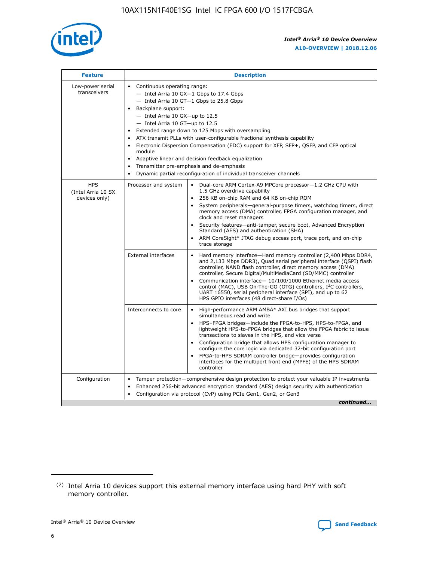

| <b>Feature</b>                                    | <b>Description</b>                                                                                                                                                                                                                                                                                                                                                                                                                                                                                                                                                                                                                         |  |  |  |  |  |  |  |
|---------------------------------------------------|--------------------------------------------------------------------------------------------------------------------------------------------------------------------------------------------------------------------------------------------------------------------------------------------------------------------------------------------------------------------------------------------------------------------------------------------------------------------------------------------------------------------------------------------------------------------------------------------------------------------------------------------|--|--|--|--|--|--|--|
| Low-power serial<br>transceivers                  | • Continuous operating range:<br>- Intel Arria 10 GX-1 Gbps to 17.4 Gbps<br>- Intel Arria 10 GT-1 Gbps to 25.8 Gbps<br>Backplane support:<br>$-$ Intel Arria 10 GX-up to 12.5<br>- Intel Arria 10 GT-up to 12.5<br>Extended range down to 125 Mbps with oversampling<br>ATX transmit PLLs with user-configurable fractional synthesis capability<br>Electronic Dispersion Compensation (EDC) support for XFP, SFP+, QSFP, and CFP optical<br>module<br>• Adaptive linear and decision feedback equalization<br>Transmitter pre-emphasis and de-emphasis<br>$\bullet$<br>Dynamic partial reconfiguration of individual transceiver channels |  |  |  |  |  |  |  |
| <b>HPS</b><br>(Intel Arria 10 SX<br>devices only) | Dual-core ARM Cortex-A9 MPCore processor-1.2 GHz CPU with<br>Processor and system<br>$\bullet$<br>1.5 GHz overdrive capability<br>256 KB on-chip RAM and 64 KB on-chip ROM<br>System peripherals-general-purpose timers, watchdog timers, direct<br>memory access (DMA) controller, FPGA configuration manager, and<br>clock and reset managers<br>Security features-anti-tamper, secure boot, Advanced Encryption<br>$\bullet$<br>Standard (AES) and authentication (SHA)<br>ARM CoreSight* JTAG debug access port, trace port, and on-chip<br>trace storage                                                                              |  |  |  |  |  |  |  |
|                                                   | <b>External interfaces</b><br>Hard memory interface-Hard memory controller (2,400 Mbps DDR4,<br>$\bullet$<br>and 2,133 Mbps DDR3), Quad serial peripheral interface (QSPI) flash<br>controller, NAND flash controller, direct memory access (DMA)<br>controller, Secure Digital/MultiMediaCard (SD/MMC) controller<br>Communication interface-10/100/1000 Ethernet media access<br>$\bullet$<br>control (MAC), USB On-The-GO (OTG) controllers, I <sup>2</sup> C controllers,<br>UART 16550, serial peripheral interface (SPI), and up to 62<br>HPS GPIO interfaces (48 direct-share I/Os)                                                 |  |  |  |  |  |  |  |
|                                                   | High-performance ARM AMBA* AXI bus bridges that support<br>Interconnects to core<br>$\bullet$<br>simultaneous read and write<br>HPS-FPGA bridges-include the FPGA-to-HPS, HPS-to-FPGA, and<br>$\bullet$<br>lightweight HPS-to-FPGA bridges that allow the FPGA fabric to issue<br>transactions to slaves in the HPS, and vice versa<br>Configuration bridge that allows HPS configuration manager to<br>configure the core logic via dedicated 32-bit configuration port<br>FPGA-to-HPS SDRAM controller bridge-provides configuration<br>interfaces for the multiport front end (MPFE) of the HPS SDRAM<br>controller                     |  |  |  |  |  |  |  |
| Configuration                                     | Tamper protection—comprehensive design protection to protect your valuable IP investments<br>Enhanced 256-bit advanced encryption standard (AES) design security with authentication<br>٠<br>Configuration via protocol (CvP) using PCIe Gen1, Gen2, or Gen3<br>continued                                                                                                                                                                                                                                                                                                                                                                  |  |  |  |  |  |  |  |

<sup>(2)</sup> Intel Arria 10 devices support this external memory interface using hard PHY with soft memory controller.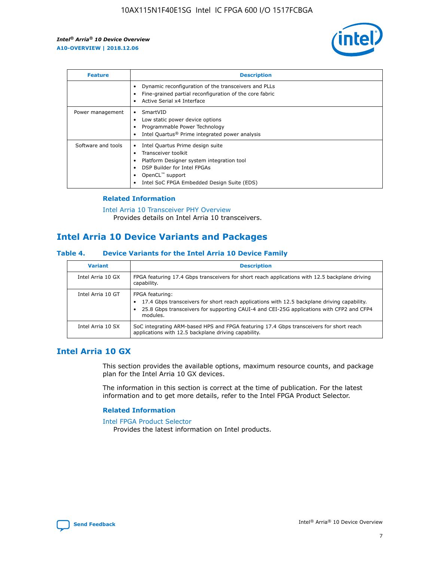

| <b>Feature</b>     | <b>Description</b>                                                                                                                                                                                                            |
|--------------------|-------------------------------------------------------------------------------------------------------------------------------------------------------------------------------------------------------------------------------|
|                    | Dynamic reconfiguration of the transceivers and PLLs<br>Fine-grained partial reconfiguration of the core fabric<br>Active Serial x4 Interface<br>$\bullet$                                                                    |
| Power management   | SmartVID<br>Low static power device options<br>Programmable Power Technology<br>Intel Quartus <sup>®</sup> Prime integrated power analysis                                                                                    |
| Software and tools | Intel Quartus Prime design suite<br>Transceiver toolkit<br>$\bullet$<br>Platform Designer system integration tool<br>DSP Builder for Intel FPGAs<br>OpenCL <sup>™</sup> support<br>Intel SoC FPGA Embedded Design Suite (EDS) |

## **Related Information**

[Intel Arria 10 Transceiver PHY Overview](https://www.intel.com/content/www/us/en/programmable/documentation/nik1398707230472.html#nik1398706768037) Provides details on Intel Arria 10 transceivers.

# **Intel Arria 10 Device Variants and Packages**

#### **Table 4. Device Variants for the Intel Arria 10 Device Family**

| <b>Variant</b>    | <b>Description</b>                                                                                                                                                                                                     |
|-------------------|------------------------------------------------------------------------------------------------------------------------------------------------------------------------------------------------------------------------|
| Intel Arria 10 GX | FPGA featuring 17.4 Gbps transceivers for short reach applications with 12.5 backplane driving<br>capability.                                                                                                          |
| Intel Arria 10 GT | FPGA featuring:<br>17.4 Gbps transceivers for short reach applications with 12.5 backplane driving capability.<br>25.8 Gbps transceivers for supporting CAUI-4 and CEI-25G applications with CFP2 and CFP4<br>modules. |
| Intel Arria 10 SX | SoC integrating ARM-based HPS and FPGA featuring 17.4 Gbps transceivers for short reach<br>applications with 12.5 backplane driving capability.                                                                        |

# **Intel Arria 10 GX**

This section provides the available options, maximum resource counts, and package plan for the Intel Arria 10 GX devices.

The information in this section is correct at the time of publication. For the latest information and to get more details, refer to the Intel FPGA Product Selector.

### **Related Information**

#### [Intel FPGA Product Selector](http://www.altera.com/products/selector/psg-selector.html) Provides the latest information on Intel products.

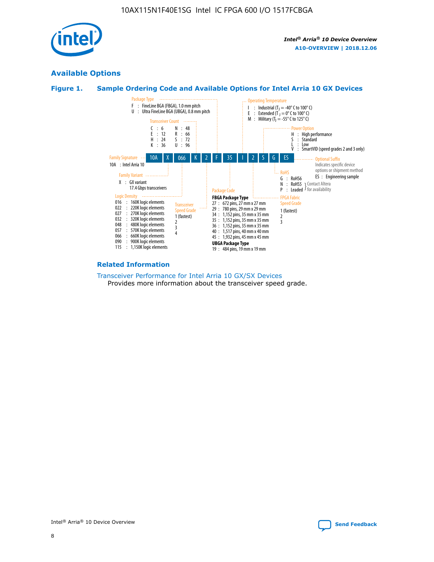

# **Available Options**





#### **Related Information**

[Transceiver Performance for Intel Arria 10 GX/SX Devices](https://www.intel.com/content/www/us/en/programmable/documentation/mcn1413182292568.html#mcn1413213965502) Provides more information about the transceiver speed grade.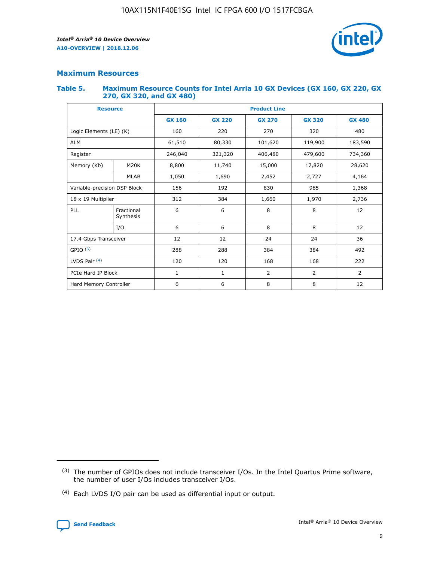

## **Maximum Resources**

#### **Table 5. Maximum Resource Counts for Intel Arria 10 GX Devices (GX 160, GX 220, GX 270, GX 320, and GX 480)**

| <b>Resource</b>              |                         | <b>Product Line</b> |                                                 |                |                |                |  |  |  |
|------------------------------|-------------------------|---------------------|-------------------------------------------------|----------------|----------------|----------------|--|--|--|
|                              |                         | <b>GX 160</b>       | <b>GX 220</b><br><b>GX 270</b><br><b>GX 320</b> |                |                | <b>GX 480</b>  |  |  |  |
| Logic Elements (LE) (K)      |                         | 160                 | 220                                             | 270            | 320            | 480            |  |  |  |
| <b>ALM</b>                   |                         | 61,510              | 80,330                                          | 101,620        | 119,900        | 183,590        |  |  |  |
| Register                     |                         | 246,040             | 406,480<br>321,320                              |                | 479,600        | 734,360        |  |  |  |
| Memory (Kb)                  | M <sub>20</sub> K       | 8,800               | 11,740                                          | 15,000         | 17,820         | 28,620         |  |  |  |
|                              | <b>MLAB</b>             | 1,050               | 1,690<br>2,452                                  |                | 2,727          | 4,164          |  |  |  |
| Variable-precision DSP Block |                         | 156                 | 192                                             | 830            | 985            | 1,368          |  |  |  |
| 18 x 19 Multiplier           |                         | 312                 | 384                                             | 1,970<br>1,660 |                | 2,736          |  |  |  |
| PLL                          | Fractional<br>Synthesis | 6                   | 6                                               | 8              | 8              | 12             |  |  |  |
|                              | I/O                     | 6                   | 6                                               | 8              | 8              | 12             |  |  |  |
| 17.4 Gbps Transceiver        |                         | 12                  | 12                                              | 24             | 24             | 36             |  |  |  |
| GPIO <sup>(3)</sup>          |                         | 288                 | 288                                             | 384            | 384            | 492            |  |  |  |
| LVDS Pair $(4)$              |                         | 120                 | 120                                             | 168            | 168            | 222            |  |  |  |
| PCIe Hard IP Block           |                         | 1                   | 1                                               | 2              | $\overline{2}$ | $\overline{2}$ |  |  |  |
| Hard Memory Controller       |                         | 6                   | 6                                               | 8              | 8              |                |  |  |  |

<sup>(4)</sup> Each LVDS I/O pair can be used as differential input or output.



<sup>(3)</sup> The number of GPIOs does not include transceiver I/Os. In the Intel Quartus Prime software, the number of user I/Os includes transceiver I/Os.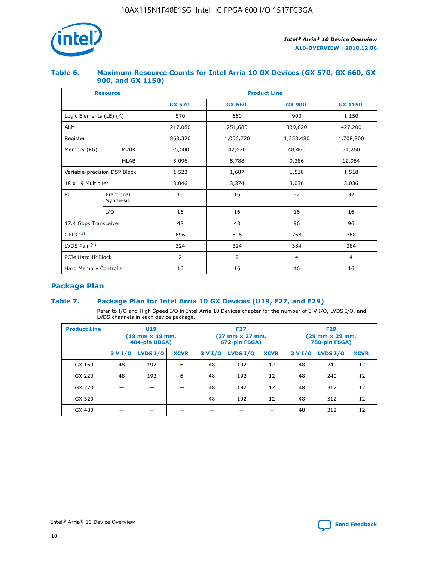

## **Table 6. Maximum Resource Counts for Intel Arria 10 GX Devices (GX 570, GX 660, GX 900, and GX 1150)**

|                              | <b>Resource</b>         | <b>Product Line</b> |                |                |                |  |  |  |
|------------------------------|-------------------------|---------------------|----------------|----------------|----------------|--|--|--|
|                              |                         | <b>GX 570</b>       | <b>GX 660</b>  | <b>GX 900</b>  | <b>GX 1150</b> |  |  |  |
| Logic Elements (LE) (K)      |                         | 570                 | 660            | 900            | 1,150          |  |  |  |
| <b>ALM</b>                   |                         | 217,080             | 251,680        | 339,620        | 427,200        |  |  |  |
| Register                     |                         | 868,320             | 1,006,720      | 1,358,480      | 1,708,800      |  |  |  |
| Memory (Kb)                  | <b>M20K</b>             | 36,000              | 42,620         | 48,460         | 54,260         |  |  |  |
|                              | <b>MLAB</b>             | 5,096               | 5,788          | 9,386          | 12,984         |  |  |  |
| Variable-precision DSP Block |                         | 1,523               | 1,687          | 1,518          | 1,518          |  |  |  |
| 18 x 19 Multiplier           |                         | 3,046               | 3,374          | 3,036          | 3,036          |  |  |  |
| PLL                          | Fractional<br>Synthesis | 16                  | 16             | 32             | 32             |  |  |  |
|                              | I/O                     | 16                  | 16             | 16             | 16             |  |  |  |
| 17.4 Gbps Transceiver        |                         | 48                  | 48<br>96       |                | 96             |  |  |  |
| GPIO <sup>(3)</sup>          |                         | 696                 | 696            | 768            | 768            |  |  |  |
| LVDS Pair $(4)$              |                         | 324                 | 324            | 384            | 384            |  |  |  |
| PCIe Hard IP Block           |                         | 2                   | $\overline{2}$ | $\overline{4}$ | $\overline{4}$ |  |  |  |
| Hard Memory Controller       |                         | 16                  | 16             | 16             | 16             |  |  |  |

# **Package Plan**

# **Table 7. Package Plan for Intel Arria 10 GX Devices (U19, F27, and F29)**

Refer to I/O and High Speed I/O in Intel Arria 10 Devices chapter for the number of 3 V I/O, LVDS I/O, and LVDS channels in each device package.

| <b>Product Line</b> | U <sub>19</sub><br>$(19 \text{ mm} \times 19 \text{ mm})$<br>484-pin UBGA) |          |             | <b>F27</b><br>(27 mm × 27 mm,<br>672-pin FBGA) |                 |             | <b>F29</b><br>(29 mm × 29 mm,<br>780-pin FBGA) |          |             |  |
|---------------------|----------------------------------------------------------------------------|----------|-------------|------------------------------------------------|-----------------|-------------|------------------------------------------------|----------|-------------|--|
|                     | 3 V I/O                                                                    | LVDS I/O | <b>XCVR</b> | 3 V I/O                                        | <b>LVDS I/O</b> | <b>XCVR</b> | 3 V I/O                                        | LVDS I/O | <b>XCVR</b> |  |
| GX 160              | 48                                                                         | 192      | 6           | 48                                             | 192             | 12          | 48                                             | 240      | 12          |  |
| GX 220              | 48                                                                         | 192      | 6           | 48                                             | 192             | 12          | 48                                             | 240      | 12          |  |
| GX 270              |                                                                            |          |             | 48                                             | 192             | 12          | 48                                             | 312      | 12          |  |
| GX 320              |                                                                            |          |             | 48                                             | 192             | 12          | 48                                             | 312      | 12          |  |
| GX 480              |                                                                            |          |             |                                                |                 |             | 48                                             | 312      | 12          |  |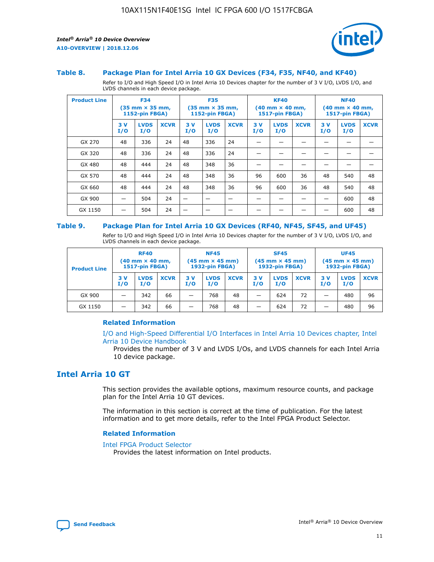

#### **Table 8. Package Plan for Intel Arria 10 GX Devices (F34, F35, NF40, and KF40)**

Refer to I/O and High Speed I/O in Intel Arria 10 Devices chapter for the number of 3 V I/O, LVDS I/O, and LVDS channels in each device package.

| <b>Product Line</b> | <b>F34</b><br>$(35 \text{ mm} \times 35 \text{ mm})$<br>1152-pin FBGA) |                    | <b>F35</b><br>$(35 \text{ mm} \times 35 \text{ mm})$<br><b>1152-pin FBGA)</b> |           | <b>KF40</b><br>$(40 \text{ mm} \times 40 \text{ mm})$<br>1517-pin FBGA) |             |            | <b>NF40</b><br>$(40 \text{ mm} \times 40 \text{ mm})$<br><b>1517-pin FBGA)</b> |             |            |                    |             |
|---------------------|------------------------------------------------------------------------|--------------------|-------------------------------------------------------------------------------|-----------|-------------------------------------------------------------------------|-------------|------------|--------------------------------------------------------------------------------|-------------|------------|--------------------|-------------|
|                     | 3V<br>I/O                                                              | <b>LVDS</b><br>I/O | <b>XCVR</b>                                                                   | 3V<br>I/O | <b>LVDS</b><br>I/O                                                      | <b>XCVR</b> | 3 V<br>I/O | <b>LVDS</b><br>I/O                                                             | <b>XCVR</b> | 3 V<br>I/O | <b>LVDS</b><br>I/O | <b>XCVR</b> |
| GX 270              | 48                                                                     | 336                | 24                                                                            | 48        | 336                                                                     | 24          |            |                                                                                |             |            |                    |             |
| GX 320              | 48                                                                     | 336                | 24                                                                            | 48        | 336                                                                     | 24          |            |                                                                                |             |            |                    |             |
| GX 480              | 48                                                                     | 444                | 24                                                                            | 48        | 348                                                                     | 36          |            |                                                                                |             |            |                    |             |
| GX 570              | 48                                                                     | 444                | 24                                                                            | 48        | 348                                                                     | 36          | 96         | 600                                                                            | 36          | 48         | 540                | 48          |
| GX 660              | 48                                                                     | 444                | 24                                                                            | 48        | 348                                                                     | 36          | 96         | 600                                                                            | 36          | 48         | 540                | 48          |
| GX 900              |                                                                        | 504                | 24                                                                            | -         |                                                                         |             |            |                                                                                |             |            | 600                | 48          |
| GX 1150             |                                                                        | 504                | 24                                                                            |           |                                                                         |             |            |                                                                                |             |            | 600                | 48          |

#### **Table 9. Package Plan for Intel Arria 10 GX Devices (RF40, NF45, SF45, and UF45)**

Refer to I/O and High Speed I/O in Intel Arria 10 Devices chapter for the number of 3 V I/O, LVDS I/O, and LVDS channels in each device package.

| <b>Product Line</b> | <b>RF40</b><br>$(40$ mm $\times$ 40 mm,<br>1517-pin FBGA) |                    |             | <b>NF45</b><br>$(45 \text{ mm} \times 45 \text{ mm})$<br><b>1932-pin FBGA)</b> |                    |             | <b>SF45</b><br>$(45 \text{ mm} \times 45 \text{ mm})$<br><b>1932-pin FBGA)</b> |                    |             | <b>UF45</b><br>$(45 \text{ mm} \times 45 \text{ mm})$<br><b>1932-pin FBGA)</b> |                    |             |
|---------------------|-----------------------------------------------------------|--------------------|-------------|--------------------------------------------------------------------------------|--------------------|-------------|--------------------------------------------------------------------------------|--------------------|-------------|--------------------------------------------------------------------------------|--------------------|-------------|
|                     | 3V<br>I/O                                                 | <b>LVDS</b><br>I/O | <b>XCVR</b> | 3 V<br>I/O                                                                     | <b>LVDS</b><br>I/O | <b>XCVR</b> | 3 V<br>I/O                                                                     | <b>LVDS</b><br>I/O | <b>XCVR</b> | 3V<br>I/O                                                                      | <b>LVDS</b><br>I/O | <b>XCVR</b> |
| GX 900              |                                                           | 342                | 66          | _                                                                              | 768                | 48          |                                                                                | 624                | 72          |                                                                                | 480                | 96          |
| GX 1150             |                                                           | 342                | 66          | _                                                                              | 768                | 48          |                                                                                | 624                | 72          |                                                                                | 480                | 96          |

### **Related Information**

[I/O and High-Speed Differential I/O Interfaces in Intel Arria 10 Devices chapter, Intel](https://www.intel.com/content/www/us/en/programmable/documentation/sam1403482614086.html#sam1403482030321) [Arria 10 Device Handbook](https://www.intel.com/content/www/us/en/programmable/documentation/sam1403482614086.html#sam1403482030321)

Provides the number of 3 V and LVDS I/Os, and LVDS channels for each Intel Arria 10 device package.

# **Intel Arria 10 GT**

This section provides the available options, maximum resource counts, and package plan for the Intel Arria 10 GT devices.

The information in this section is correct at the time of publication. For the latest information and to get more details, refer to the Intel FPGA Product Selector.

#### **Related Information**

#### [Intel FPGA Product Selector](http://www.altera.com/products/selector/psg-selector.html)

Provides the latest information on Intel products.

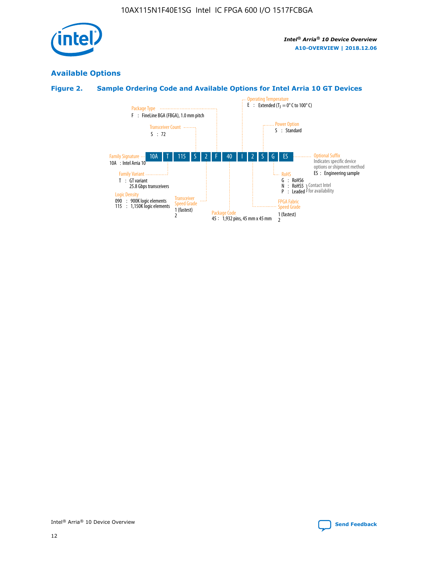

# **Available Options**

# **Figure 2. Sample Ordering Code and Available Options for Intel Arria 10 GT Devices**

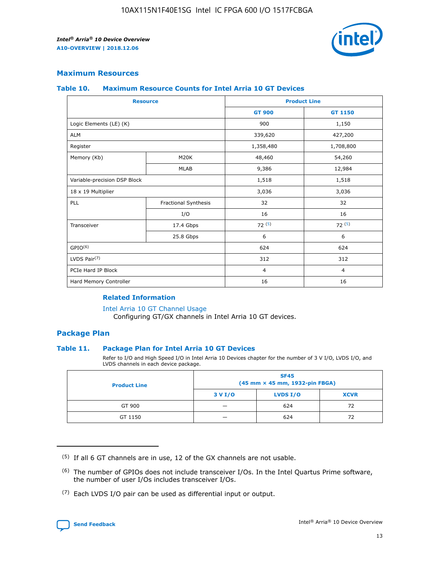

## **Maximum Resources**

#### **Table 10. Maximum Resource Counts for Intel Arria 10 GT Devices**

| <b>Resource</b>              |                      |                | <b>Product Line</b> |  |
|------------------------------|----------------------|----------------|---------------------|--|
|                              |                      | <b>GT 900</b>  | <b>GT 1150</b>      |  |
| Logic Elements (LE) (K)      |                      | 900            | 1,150               |  |
| <b>ALM</b>                   |                      | 339,620        | 427,200             |  |
| Register                     |                      | 1,358,480      | 1,708,800           |  |
| Memory (Kb)                  | M <sub>20</sub> K    | 48,460         | 54,260              |  |
|                              | <b>MLAB</b>          | 9,386          | 12,984              |  |
| Variable-precision DSP Block |                      | 1,518          | 1,518               |  |
| 18 x 19 Multiplier           |                      | 3,036          | 3,036               |  |
| PLL                          | Fractional Synthesis | 32             | 32                  |  |
|                              | I/O                  | 16             | 16                  |  |
| Transceiver                  | 17.4 Gbps            | 72(5)          | 72(5)               |  |
|                              | 25.8 Gbps            | 6              | 6                   |  |
| GPIO <sup>(6)</sup>          |                      | 624            | 624                 |  |
| LVDS Pair $(7)$              |                      | 312            | 312                 |  |
| PCIe Hard IP Block           |                      | $\overline{4}$ | $\overline{4}$      |  |
| Hard Memory Controller       |                      | 16             | 16                  |  |

### **Related Information**

#### [Intel Arria 10 GT Channel Usage](https://www.intel.com/content/www/us/en/programmable/documentation/nik1398707230472.html#nik1398707008178)

Configuring GT/GX channels in Intel Arria 10 GT devices.

## **Package Plan**

#### **Table 11. Package Plan for Intel Arria 10 GT Devices**

Refer to I/O and High Speed I/O in Intel Arria 10 Devices chapter for the number of 3 V I/O, LVDS I/O, and LVDS channels in each device package.

| <b>Product Line</b> | <b>SF45</b><br>(45 mm × 45 mm, 1932-pin FBGA) |                 |             |  |  |  |
|---------------------|-----------------------------------------------|-----------------|-------------|--|--|--|
|                     | 3 V I/O                                       | <b>LVDS I/O</b> | <b>XCVR</b> |  |  |  |
| GT 900              |                                               | 624             | 72          |  |  |  |
| GT 1150             |                                               | 624             |             |  |  |  |

<sup>(7)</sup> Each LVDS I/O pair can be used as differential input or output.



 $(5)$  If all 6 GT channels are in use, 12 of the GX channels are not usable.

<sup>(6)</sup> The number of GPIOs does not include transceiver I/Os. In the Intel Quartus Prime software, the number of user I/Os includes transceiver I/Os.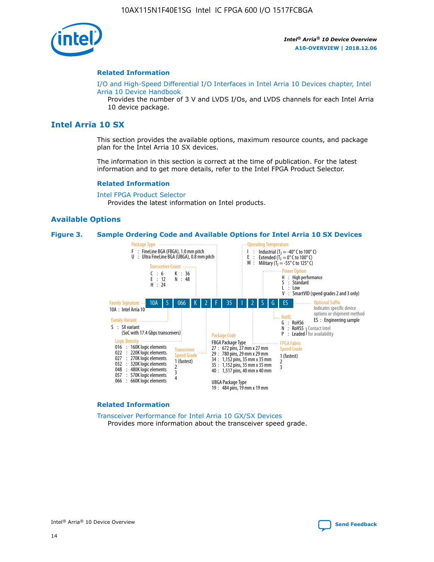

#### **Related Information**

[I/O and High-Speed Differential I/O Interfaces in Intel Arria 10 Devices chapter, Intel](https://www.intel.com/content/www/us/en/programmable/documentation/sam1403482614086.html#sam1403482030321) [Arria 10 Device Handbook](https://www.intel.com/content/www/us/en/programmable/documentation/sam1403482614086.html#sam1403482030321)

Provides the number of 3 V and LVDS I/Os, and LVDS channels for each Intel Arria 10 device package.

# **Intel Arria 10 SX**

This section provides the available options, maximum resource counts, and package plan for the Intel Arria 10 SX devices.

The information in this section is correct at the time of publication. For the latest information and to get more details, refer to the Intel FPGA Product Selector.

#### **Related Information**

[Intel FPGA Product Selector](http://www.altera.com/products/selector/psg-selector.html) Provides the latest information on Intel products.

#### **Available Options**

#### **Figure 3. Sample Ordering Code and Available Options for Intel Arria 10 SX Devices**



#### **Related Information**

[Transceiver Performance for Intel Arria 10 GX/SX Devices](https://www.intel.com/content/www/us/en/programmable/documentation/mcn1413182292568.html#mcn1413213965502) Provides more information about the transceiver speed grade.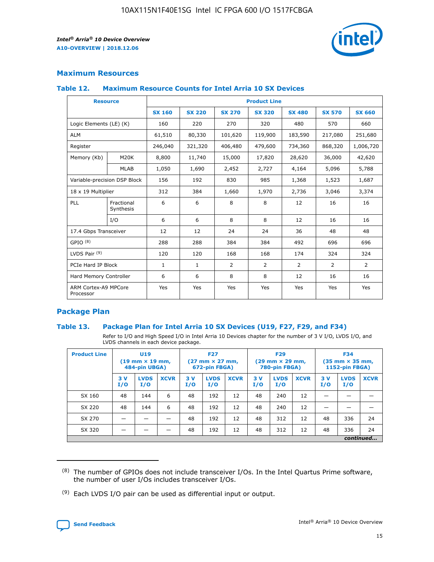

# **Maximum Resources**

#### **Table 12. Maximum Resource Counts for Intel Arria 10 SX Devices**

| <b>Resource</b>                   |                         | <b>Product Line</b> |               |                |                |                |                |                |  |  |  |
|-----------------------------------|-------------------------|---------------------|---------------|----------------|----------------|----------------|----------------|----------------|--|--|--|
|                                   |                         | <b>SX 160</b>       | <b>SX 220</b> | <b>SX 270</b>  | <b>SX 320</b>  | <b>SX 480</b>  | <b>SX 570</b>  | <b>SX 660</b>  |  |  |  |
| Logic Elements (LE) (K)           |                         | 160                 | 220           | 270            | 320            | 480            | 570            | 660            |  |  |  |
| <b>ALM</b>                        |                         | 61,510              | 80,330        | 101,620        | 119,900        | 183,590        | 217,080        | 251,680        |  |  |  |
| Register                          |                         | 246,040             | 321,320       | 406,480        | 479,600        | 734,360        | 868,320        | 1,006,720      |  |  |  |
| Memory (Kb)                       | M <sub>20</sub> K       | 8,800               | 11,740        | 15,000         | 17,820         | 28,620         | 36,000         | 42,620         |  |  |  |
|                                   | <b>MLAB</b>             | 1,050               | 1,690         | 2,452          | 2,727          | 4,164          | 5,096          | 5,788          |  |  |  |
| Variable-precision DSP Block      |                         | 156                 | 192           | 830            | 985            | 1,368          | 1,523          | 1,687          |  |  |  |
| 18 x 19 Multiplier                |                         | 312                 | 384           | 1,660          | 1,970          | 2,736          | 3,046          | 3,374          |  |  |  |
| PLL                               | Fractional<br>Synthesis | 6                   | 6             | 8              | 8              | 12             | 16             | 16             |  |  |  |
|                                   | I/O                     | 6                   | 6             | 8              | 8              | 12             | 16             | 16             |  |  |  |
| 17.4 Gbps Transceiver             |                         | 12                  | 12            | 24             | 24             | 36             | 48             | 48             |  |  |  |
| GPIO <sup>(8)</sup>               |                         | 288                 | 288           | 384            | 384            | 492            | 696            | 696            |  |  |  |
| LVDS Pair $(9)$                   |                         | 120                 | 120           | 168            | 168            | 174            | 324            | 324            |  |  |  |
| PCIe Hard IP Block                |                         | $\mathbf{1}$        | $\mathbf{1}$  | $\overline{2}$ | $\overline{2}$ | $\overline{2}$ | $\overline{2}$ | $\overline{2}$ |  |  |  |
| Hard Memory Controller            |                         | 6                   | 6             | 8              | 8              | 12             | 16             | 16             |  |  |  |
| ARM Cortex-A9 MPCore<br>Processor |                         | Yes                 | Yes           | Yes            | Yes            | Yes            | Yes            | <b>Yes</b>     |  |  |  |

# **Package Plan**

#### **Table 13. Package Plan for Intel Arria 10 SX Devices (U19, F27, F29, and F34)**

Refer to I/O and High Speed I/O in Intel Arria 10 Devices chapter for the number of 3 V I/O, LVDS I/O, and LVDS channels in each device package.

| <b>Product Line</b> | U19<br>$(19 \text{ mm} \times 19 \text{ mm})$<br>484-pin UBGA) |                    | <b>F27</b><br>$(27 \text{ mm} \times 27 \text{ mm})$<br>672-pin FBGA) |           | <b>F29</b><br>$(29 \text{ mm} \times 29 \text{ mm})$<br>780-pin FBGA) |             |            | <b>F34</b><br>$(35 \text{ mm} \times 35 \text{ mm})$<br><b>1152-pin FBGA)</b> |             |           |                    |             |
|---------------------|----------------------------------------------------------------|--------------------|-----------------------------------------------------------------------|-----------|-----------------------------------------------------------------------|-------------|------------|-------------------------------------------------------------------------------|-------------|-----------|--------------------|-------------|
|                     | 3V<br>I/O                                                      | <b>LVDS</b><br>I/O | <b>XCVR</b>                                                           | 3V<br>I/O | <b>LVDS</b><br>I/O                                                    | <b>XCVR</b> | 3 V<br>I/O | <b>LVDS</b><br>I/O                                                            | <b>XCVR</b> | 3V<br>I/O | <b>LVDS</b><br>I/O | <b>XCVR</b> |
| SX 160              | 48                                                             | 144                | 6                                                                     | 48        | 192                                                                   | 12          | 48         | 240                                                                           | 12          | –         |                    |             |
| SX 220              | 48                                                             | 144                | 6                                                                     | 48        | 192                                                                   | 12          | 48         | 240                                                                           | 12          |           |                    |             |
| SX 270              |                                                                |                    |                                                                       | 48        | 192                                                                   | 12          | 48         | 312                                                                           | 12          | 48        | 336                | 24          |
| SX 320              |                                                                |                    |                                                                       | 48        | 192                                                                   | 12          | 48         | 312                                                                           | 12          | 48        | 336                | 24          |
|                     | continued                                                      |                    |                                                                       |           |                                                                       |             |            |                                                                               |             |           |                    |             |

 $(8)$  The number of GPIOs does not include transceiver I/Os. In the Intel Quartus Prime software, the number of user I/Os includes transceiver I/Os.

 $(9)$  Each LVDS I/O pair can be used as differential input or output.

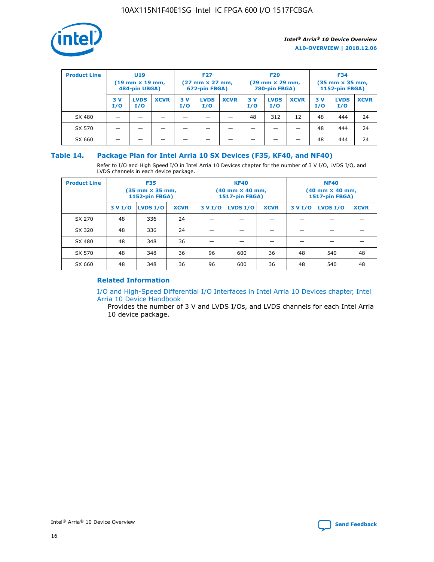

| <b>Product Line</b> | <b>U19</b><br>$(19 \text{ mm} \times 19 \text{ mm})$<br>484-pin UBGA) |                    | <b>F27</b><br>$(27 \text{ mm} \times 27 \text{ mm})$<br>672-pin FBGA) |           |                    | <b>F29</b><br>$(29$ mm $\times$ 29 mm,<br>780-pin FBGA) |           |                    | <b>F34</b><br>$(35$ mm $\times$ 35 mm,<br><b>1152-pin FBGA)</b> |           |                    |             |
|---------------------|-----------------------------------------------------------------------|--------------------|-----------------------------------------------------------------------|-----------|--------------------|---------------------------------------------------------|-----------|--------------------|-----------------------------------------------------------------|-----------|--------------------|-------------|
|                     | 3 V<br>I/O                                                            | <b>LVDS</b><br>I/O | <b>XCVR</b>                                                           | 3V<br>I/O | <b>LVDS</b><br>I/O | <b>XCVR</b>                                             | 3V<br>I/O | <b>LVDS</b><br>I/O | <b>XCVR</b>                                                     | 3V<br>I/O | <b>LVDS</b><br>I/O | <b>XCVR</b> |
| SX 480              |                                                                       |                    |                                                                       |           |                    |                                                         | 48        | 312                | 12                                                              | 48        | 444                | 24          |
| SX 570              |                                                                       |                    |                                                                       |           |                    |                                                         |           |                    |                                                                 | 48        | 444                | 24          |
| SX 660              |                                                                       |                    |                                                                       |           |                    |                                                         |           |                    |                                                                 | 48        | 444                | 24          |

## **Table 14. Package Plan for Intel Arria 10 SX Devices (F35, KF40, and NF40)**

Refer to I/O and High Speed I/O in Intel Arria 10 Devices chapter for the number of 3 V I/O, LVDS I/O, and LVDS channels in each device package.

| <b>Product Line</b> | <b>F35</b><br>(35 mm × 35 mm,<br><b>1152-pin FBGA)</b> |          |             |                                           | <b>KF40</b><br>(40 mm × 40 mm,<br>1517-pin FBGA) |    | <b>NF40</b><br>$(40 \text{ mm} \times 40 \text{ mm})$<br>1517-pin FBGA) |          |             |  |
|---------------------|--------------------------------------------------------|----------|-------------|-------------------------------------------|--------------------------------------------------|----|-------------------------------------------------------------------------|----------|-------------|--|
|                     | 3 V I/O                                                | LVDS I/O | <b>XCVR</b> | <b>LVDS I/O</b><br>3 V I/O<br><b>XCVR</b> |                                                  |    | 3 V I/O                                                                 | LVDS I/O | <b>XCVR</b> |  |
| SX 270              | 48                                                     | 336      | 24          |                                           |                                                  |    |                                                                         |          |             |  |
| SX 320              | 48                                                     | 336      | 24          |                                           |                                                  |    |                                                                         |          |             |  |
| SX 480              | 48                                                     | 348      | 36          |                                           |                                                  |    |                                                                         |          |             |  |
| SX 570              | 48                                                     | 348      | 36          | 96                                        | 600                                              | 36 | 48                                                                      | 540      | 48          |  |
| SX 660              | 48                                                     | 348      | 36          | 96                                        | 600                                              | 36 | 48                                                                      | 540      | 48          |  |

# **Related Information**

[I/O and High-Speed Differential I/O Interfaces in Intel Arria 10 Devices chapter, Intel](https://www.intel.com/content/www/us/en/programmable/documentation/sam1403482614086.html#sam1403482030321) [Arria 10 Device Handbook](https://www.intel.com/content/www/us/en/programmable/documentation/sam1403482614086.html#sam1403482030321)

Provides the number of 3 V and LVDS I/Os, and LVDS channels for each Intel Arria 10 device package.

Intel<sup>®</sup> Arria<sup>®</sup> 10 Device Overview **[Send Feedback](mailto:FPGAtechdocfeedback@intel.com?subject=Feedback%20on%20Intel%20Arria%2010%20Device%20Overview%20(A10-OVERVIEW%202018.12.06)&body=We%20appreciate%20your%20feedback.%20In%20your%20comments,%20also%20specify%20the%20page%20number%20or%20paragraph.%20Thank%20you.)** Send Feedback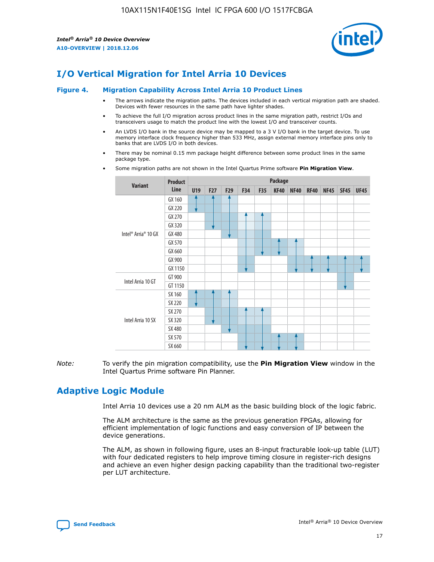

# **I/O Vertical Migration for Intel Arria 10 Devices**

#### **Figure 4. Migration Capability Across Intel Arria 10 Product Lines**

- The arrows indicate the migration paths. The devices included in each vertical migration path are shaded. Devices with fewer resources in the same path have lighter shades.
- To achieve the full I/O migration across product lines in the same migration path, restrict I/Os and transceivers usage to match the product line with the lowest I/O and transceiver counts.
- An LVDS I/O bank in the source device may be mapped to a 3 V I/O bank in the target device. To use memory interface clock frequency higher than 533 MHz, assign external memory interface pins only to banks that are LVDS I/O in both devices.
- There may be nominal 0.15 mm package height difference between some product lines in the same package type.
	- **Variant Product Line Package U19 F27 F29 F34 F35 KF40 NF40 RF40 NF45 SF45 UF45** Intel® Arria® 10 GX GX 160 GX 220 GX 270 GX 320 GX 480 GX 570 GX 660 GX 900 GX 1150 Intel Arria 10 GT GT 900 GT 1150 Intel Arria 10 SX SX 160 SX 220 SX 270 SX 320 SX 480 SX 570 SX 660
- Some migration paths are not shown in the Intel Quartus Prime software **Pin Migration View**.

*Note:* To verify the pin migration compatibility, use the **Pin Migration View** window in the Intel Quartus Prime software Pin Planner.

# **Adaptive Logic Module**

Intel Arria 10 devices use a 20 nm ALM as the basic building block of the logic fabric.

The ALM architecture is the same as the previous generation FPGAs, allowing for efficient implementation of logic functions and easy conversion of IP between the device generations.

The ALM, as shown in following figure, uses an 8-input fracturable look-up table (LUT) with four dedicated registers to help improve timing closure in register-rich designs and achieve an even higher design packing capability than the traditional two-register per LUT architecture.

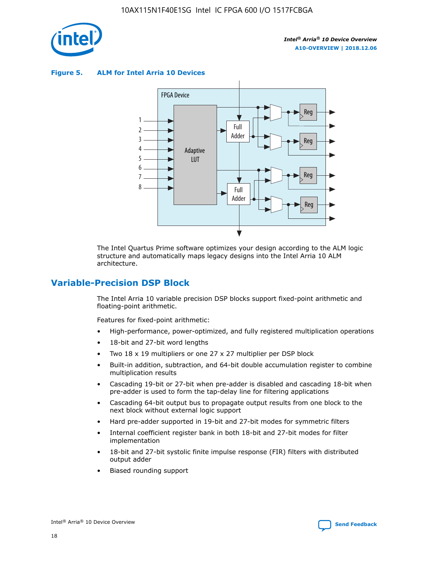

**Figure 5. ALM for Intel Arria 10 Devices**



The Intel Quartus Prime software optimizes your design according to the ALM logic structure and automatically maps legacy designs into the Intel Arria 10 ALM architecture.

# **Variable-Precision DSP Block**

The Intel Arria 10 variable precision DSP blocks support fixed-point arithmetic and floating-point arithmetic.

Features for fixed-point arithmetic:

- High-performance, power-optimized, and fully registered multiplication operations
- 18-bit and 27-bit word lengths
- Two 18 x 19 multipliers or one 27 x 27 multiplier per DSP block
- Built-in addition, subtraction, and 64-bit double accumulation register to combine multiplication results
- Cascading 19-bit or 27-bit when pre-adder is disabled and cascading 18-bit when pre-adder is used to form the tap-delay line for filtering applications
- Cascading 64-bit output bus to propagate output results from one block to the next block without external logic support
- Hard pre-adder supported in 19-bit and 27-bit modes for symmetric filters
- Internal coefficient register bank in both 18-bit and 27-bit modes for filter implementation
- 18-bit and 27-bit systolic finite impulse response (FIR) filters with distributed output adder
- Biased rounding support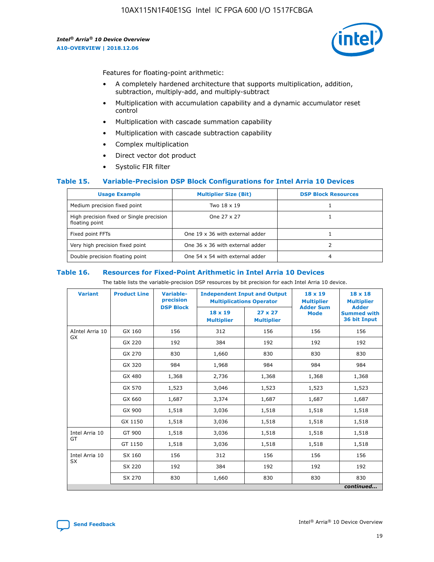

Features for floating-point arithmetic:

- A completely hardened architecture that supports multiplication, addition, subtraction, multiply-add, and multiply-subtract
- Multiplication with accumulation capability and a dynamic accumulator reset control
- Multiplication with cascade summation capability
- Multiplication with cascade subtraction capability
- Complex multiplication
- Direct vector dot product
- Systolic FIR filter

#### **Table 15. Variable-Precision DSP Block Configurations for Intel Arria 10 Devices**

| <b>Usage Example</b>                                       | <b>Multiplier Size (Bit)</b>    | <b>DSP Block Resources</b> |
|------------------------------------------------------------|---------------------------------|----------------------------|
| Medium precision fixed point                               | Two 18 x 19                     |                            |
| High precision fixed or Single precision<br>floating point | One 27 x 27                     |                            |
| Fixed point FFTs                                           | One 19 x 36 with external adder |                            |
| Very high precision fixed point                            | One 36 x 36 with external adder |                            |
| Double precision floating point                            | One 54 x 54 with external adder | 4                          |

#### **Table 16. Resources for Fixed-Point Arithmetic in Intel Arria 10 Devices**

The table lists the variable-precision DSP resources by bit precision for each Intel Arria 10 device.

| <b>Variant</b>  | <b>Product Line</b> | <b>Variable-</b><br>precision<br><b>DSP Block</b> | <b>Independent Input and Output</b><br><b>Multiplications Operator</b> |                                     | $18 \times 19$<br><b>Multiplier</b><br><b>Adder Sum</b> | $18 \times 18$<br><b>Multiplier</b><br><b>Adder</b> |
|-----------------|---------------------|---------------------------------------------------|------------------------------------------------------------------------|-------------------------------------|---------------------------------------------------------|-----------------------------------------------------|
|                 |                     |                                                   | 18 x 19<br><b>Multiplier</b>                                           | $27 \times 27$<br><b>Multiplier</b> | <b>Mode</b>                                             | <b>Summed with</b><br>36 bit Input                  |
| AIntel Arria 10 | GX 160              | 156                                               | 312                                                                    | 156                                 | 156                                                     | 156                                                 |
| GX              | GX 220              | 192                                               | 384                                                                    | 192                                 | 192                                                     | 192                                                 |
|                 | GX 270              | 830                                               | 1,660                                                                  | 830                                 | 830                                                     | 830                                                 |
|                 | GX 320              | 984                                               | 1,968                                                                  | 984                                 | 984                                                     | 984                                                 |
|                 | GX 480              | 1,368                                             | 2,736                                                                  | 1,368                               | 1,368                                                   | 1,368                                               |
|                 | GX 570              | 1,523                                             | 3,046                                                                  | 1,523                               | 1,523                                                   | 1,523                                               |
|                 | GX 660              | 1,687                                             | 3,374                                                                  | 1,687                               | 1,687                                                   | 1,687                                               |
|                 | GX 900              | 1,518                                             | 3,036                                                                  | 1,518                               | 1,518                                                   | 1,518                                               |
|                 | GX 1150             | 1,518                                             | 3,036                                                                  | 1,518                               | 1,518                                                   | 1,518                                               |
| Intel Arria 10  | GT 900              | 1,518                                             | 3,036                                                                  | 1,518                               | 1,518                                                   | 1,518                                               |
| GT              | GT 1150             | 1,518                                             | 3,036                                                                  | 1,518                               | 1,518                                                   | 1,518                                               |
| Intel Arria 10  | SX 160              | 156                                               | 312                                                                    | 156                                 | 156                                                     | 156                                                 |
| <b>SX</b>       | SX 220              | 192                                               | 384                                                                    | 192                                 | 192                                                     | 192                                                 |
|                 | SX 270              | 830                                               | 1,660                                                                  | 830                                 | 830                                                     | 830                                                 |
|                 |                     |                                                   |                                                                        |                                     |                                                         | continued                                           |

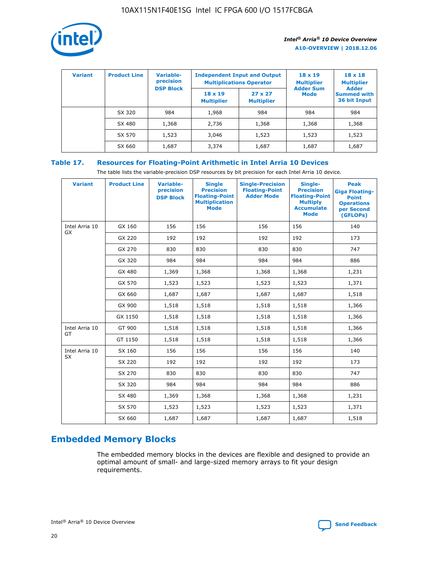

| <b>Variant</b> | <b>Product Line</b> | Variable-<br>precision | <b>Independent Input and Output</b><br><b>Multiplications Operator</b> |                                     | $18 \times 19$<br><b>Multiplier</b> | $18 \times 18$<br><b>Multiplier</b><br><b>Adder</b> |  |
|----------------|---------------------|------------------------|------------------------------------------------------------------------|-------------------------------------|-------------------------------------|-----------------------------------------------------|--|
|                |                     | <b>DSP Block</b>       | $18 \times 19$<br><b>Multiplier</b>                                    | $27 \times 27$<br><b>Multiplier</b> | <b>Adder Sum</b><br><b>Mode</b>     | <b>Summed with</b><br>36 bit Input                  |  |
|                | SX 320              | 984                    | 1,968                                                                  | 984                                 | 984                                 | 984                                                 |  |
|                | SX 480              | 1,368                  | 2,736                                                                  | 1,368                               | 1,368                               | 1,368                                               |  |
|                | SX 570              | 1,523                  | 3,046                                                                  | 1,523                               | 1,523                               | 1,523                                               |  |
|                | SX 660              | 1,687                  | 3,374                                                                  | 1,687                               | 1,687                               | 1,687                                               |  |

# **Table 17. Resources for Floating-Point Arithmetic in Intel Arria 10 Devices**

The table lists the variable-precision DSP resources by bit precision for each Intel Arria 10 device.

| <b>Variant</b>              | <b>Product Line</b> | <b>Variable-</b><br>precision<br><b>DSP Block</b> | <b>Single</b><br><b>Precision</b><br><b>Floating-Point</b><br><b>Multiplication</b><br><b>Mode</b> | <b>Single-Precision</b><br><b>Floating-Point</b><br><b>Adder Mode</b> | Single-<br><b>Precision</b><br><b>Floating-Point</b><br><b>Multiply</b><br><b>Accumulate</b><br><b>Mode</b> | <b>Peak</b><br><b>Giga Floating-</b><br><b>Point</b><br><b>Operations</b><br>per Second<br>(GFLOPs) |
|-----------------------------|---------------------|---------------------------------------------------|----------------------------------------------------------------------------------------------------|-----------------------------------------------------------------------|-------------------------------------------------------------------------------------------------------------|-----------------------------------------------------------------------------------------------------|
| Intel Arria 10<br>GX        | GX 160              | 156                                               | 156                                                                                                | 156                                                                   | 156                                                                                                         | 140                                                                                                 |
|                             | GX 220              | 192                                               | 192                                                                                                | 192                                                                   | 192                                                                                                         | 173                                                                                                 |
|                             | GX 270              | 830                                               | 830                                                                                                | 830                                                                   | 830                                                                                                         | 747                                                                                                 |
|                             | GX 320              | 984                                               | 984                                                                                                | 984                                                                   | 984                                                                                                         | 886                                                                                                 |
|                             | GX 480              | 1,369                                             | 1,368                                                                                              | 1,368                                                                 | 1,368                                                                                                       | 1,231                                                                                               |
|                             | GX 570              | 1,523                                             | 1,523                                                                                              | 1,523                                                                 | 1,523                                                                                                       | 1,371                                                                                               |
|                             | GX 660              | 1,687                                             | 1,687                                                                                              | 1,687                                                                 | 1,687                                                                                                       | 1,518                                                                                               |
|                             | GX 900              | 1,518                                             | 1,518                                                                                              | 1,518                                                                 | 1,518                                                                                                       | 1,366                                                                                               |
|                             | GX 1150             | 1,518                                             | 1,518                                                                                              | 1,518                                                                 | 1,518                                                                                                       | 1,366                                                                                               |
| Intel Arria 10              | GT 900              | 1,518                                             | 1,518                                                                                              | 1,518                                                                 | 1,518                                                                                                       | 1,366                                                                                               |
| GT                          | GT 1150             | 1,518                                             | 1,518                                                                                              | 1,518                                                                 | 1,518                                                                                                       | 1,366                                                                                               |
| Intel Arria 10<br><b>SX</b> | SX 160              | 156                                               | 156                                                                                                | 156                                                                   | 156                                                                                                         | 140                                                                                                 |
|                             | SX 220              | 192                                               | 192                                                                                                | 192                                                                   | 192                                                                                                         | 173                                                                                                 |
|                             | SX 270              | 830                                               | 830                                                                                                | 830                                                                   | 830                                                                                                         | 747                                                                                                 |
|                             | SX 320              | 984                                               | 984                                                                                                | 984                                                                   | 984                                                                                                         | 886                                                                                                 |
|                             | SX 480              | 1,369                                             | 1,368                                                                                              | 1,368                                                                 | 1,368                                                                                                       | 1,231                                                                                               |
|                             | SX 570              | 1,523                                             | 1,523                                                                                              | 1,523                                                                 | 1,523                                                                                                       | 1,371                                                                                               |
|                             | SX 660              | 1,687                                             | 1,687                                                                                              | 1,687                                                                 | 1,687                                                                                                       | 1,518                                                                                               |

# **Embedded Memory Blocks**

The embedded memory blocks in the devices are flexible and designed to provide an optimal amount of small- and large-sized memory arrays to fit your design requirements.

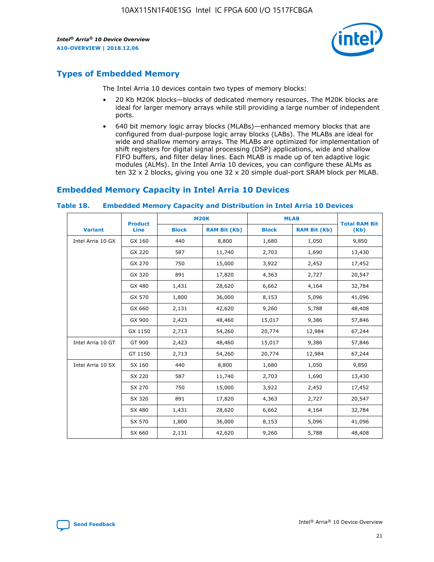

# **Types of Embedded Memory**

The Intel Arria 10 devices contain two types of memory blocks:

- 20 Kb M20K blocks—blocks of dedicated memory resources. The M20K blocks are ideal for larger memory arrays while still providing a large number of independent ports.
- 640 bit memory logic array blocks (MLABs)—enhanced memory blocks that are configured from dual-purpose logic array blocks (LABs). The MLABs are ideal for wide and shallow memory arrays. The MLABs are optimized for implementation of shift registers for digital signal processing (DSP) applications, wide and shallow FIFO buffers, and filter delay lines. Each MLAB is made up of ten adaptive logic modules (ALMs). In the Intel Arria 10 devices, you can configure these ALMs as ten 32 x 2 blocks, giving you one 32 x 20 simple dual-port SRAM block per MLAB.

# **Embedded Memory Capacity in Intel Arria 10 Devices**

|                   | <b>Product</b> | <b>M20K</b>  |                     | <b>MLAB</b>  |                     | <b>Total RAM Bit</b> |
|-------------------|----------------|--------------|---------------------|--------------|---------------------|----------------------|
| <b>Variant</b>    | <b>Line</b>    | <b>Block</b> | <b>RAM Bit (Kb)</b> | <b>Block</b> | <b>RAM Bit (Kb)</b> | (Kb)                 |
| Intel Arria 10 GX | GX 160         | 440          | 8,800               | 1,680        | 1,050               | 9,850                |
|                   | GX 220         | 587          | 11,740              | 2,703        | 1,690               | 13,430               |
|                   | GX 270         | 750          | 15,000              | 3,922        | 2,452               | 17,452               |
|                   | GX 320         | 891          | 17,820              | 4,363        | 2,727               | 20,547               |
|                   | GX 480         | 1,431        | 28,620              | 6,662        | 4,164               | 32,784               |
|                   | GX 570         | 1,800        | 36,000              | 8,153        | 5,096               | 41,096               |
|                   | GX 660         | 2,131        | 42,620              | 9,260        | 5,788               | 48,408               |
|                   | GX 900         | 2,423        | 48,460              | 15,017       | 9,386               | 57,846               |
|                   | GX 1150        | 2,713        | 54,260              | 20,774       | 12,984              | 67,244               |
| Intel Arria 10 GT | GT 900         | 2,423        | 48,460              | 15,017       | 9,386               | 57,846               |
|                   | GT 1150        | 2,713        | 54,260              | 20,774       | 12,984              | 67,244               |
| Intel Arria 10 SX | SX 160         | 440          | 8,800               | 1,680        | 1,050               | 9,850                |
|                   | SX 220         | 587          | 11,740              | 2,703        | 1,690               | 13,430               |
|                   | SX 270         | 750          | 15,000              | 3,922        | 2,452               | 17,452               |
|                   | SX 320         | 891          | 17,820              | 4,363        | 2,727               | 20,547               |
|                   | SX 480         | 1,431        | 28,620              | 6,662        | 4,164               | 32,784               |
|                   | SX 570         | 1,800        | 36,000              | 8,153        | 5,096               | 41,096               |
|                   | SX 660         | 2,131        | 42,620              | 9,260        | 5,788               | 48,408               |

#### **Table 18. Embedded Memory Capacity and Distribution in Intel Arria 10 Devices**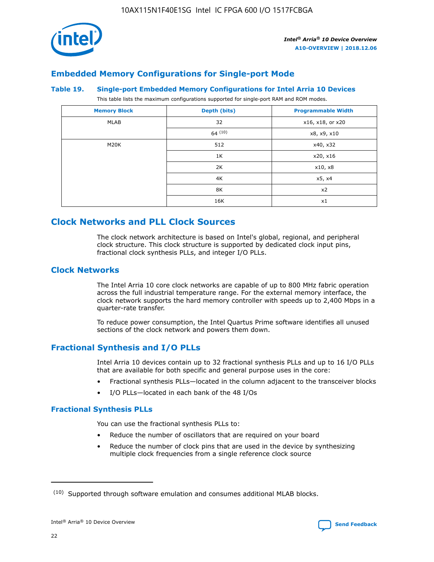

# **Embedded Memory Configurations for Single-port Mode**

#### **Table 19. Single-port Embedded Memory Configurations for Intel Arria 10 Devices**

This table lists the maximum configurations supported for single-port RAM and ROM modes.

| <b>Memory Block</b> | Depth (bits) | <b>Programmable Width</b> |
|---------------------|--------------|---------------------------|
| MLAB                | 32           | x16, x18, or x20          |
|                     | 64(10)       | x8, x9, x10               |
| M20K                | 512          | x40, x32                  |
|                     | 1K           | x20, x16                  |
|                     | 2K           | x10, x8                   |
|                     | 4K           | x5, x4                    |
|                     | 8K           | x2                        |
|                     | 16K          | x1                        |

# **Clock Networks and PLL Clock Sources**

The clock network architecture is based on Intel's global, regional, and peripheral clock structure. This clock structure is supported by dedicated clock input pins, fractional clock synthesis PLLs, and integer I/O PLLs.

# **Clock Networks**

The Intel Arria 10 core clock networks are capable of up to 800 MHz fabric operation across the full industrial temperature range. For the external memory interface, the clock network supports the hard memory controller with speeds up to 2,400 Mbps in a quarter-rate transfer.

To reduce power consumption, the Intel Quartus Prime software identifies all unused sections of the clock network and powers them down.

# **Fractional Synthesis and I/O PLLs**

Intel Arria 10 devices contain up to 32 fractional synthesis PLLs and up to 16 I/O PLLs that are available for both specific and general purpose uses in the core:

- Fractional synthesis PLLs—located in the column adjacent to the transceiver blocks
- I/O PLLs—located in each bank of the 48 I/Os

#### **Fractional Synthesis PLLs**

You can use the fractional synthesis PLLs to:

- Reduce the number of oscillators that are required on your board
- Reduce the number of clock pins that are used in the device by synthesizing multiple clock frequencies from a single reference clock source

<sup>(10)</sup> Supported through software emulation and consumes additional MLAB blocks.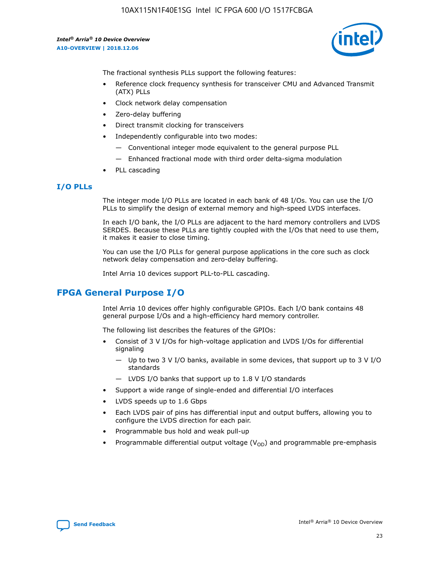

The fractional synthesis PLLs support the following features:

- Reference clock frequency synthesis for transceiver CMU and Advanced Transmit (ATX) PLLs
- Clock network delay compensation
- Zero-delay buffering
- Direct transmit clocking for transceivers
- Independently configurable into two modes:
	- Conventional integer mode equivalent to the general purpose PLL
	- Enhanced fractional mode with third order delta-sigma modulation
- PLL cascading

## **I/O PLLs**

The integer mode I/O PLLs are located in each bank of 48 I/Os. You can use the I/O PLLs to simplify the design of external memory and high-speed LVDS interfaces.

In each I/O bank, the I/O PLLs are adjacent to the hard memory controllers and LVDS SERDES. Because these PLLs are tightly coupled with the I/Os that need to use them, it makes it easier to close timing.

You can use the I/O PLLs for general purpose applications in the core such as clock network delay compensation and zero-delay buffering.

Intel Arria 10 devices support PLL-to-PLL cascading.

# **FPGA General Purpose I/O**

Intel Arria 10 devices offer highly configurable GPIOs. Each I/O bank contains 48 general purpose I/Os and a high-efficiency hard memory controller.

The following list describes the features of the GPIOs:

- Consist of 3 V I/Os for high-voltage application and LVDS I/Os for differential signaling
	- Up to two 3 V I/O banks, available in some devices, that support up to 3 V I/O standards
	- LVDS I/O banks that support up to 1.8 V I/O standards
- Support a wide range of single-ended and differential I/O interfaces
- LVDS speeds up to 1.6 Gbps
- Each LVDS pair of pins has differential input and output buffers, allowing you to configure the LVDS direction for each pair.
- Programmable bus hold and weak pull-up
- Programmable differential output voltage  $(V_{OD})$  and programmable pre-emphasis

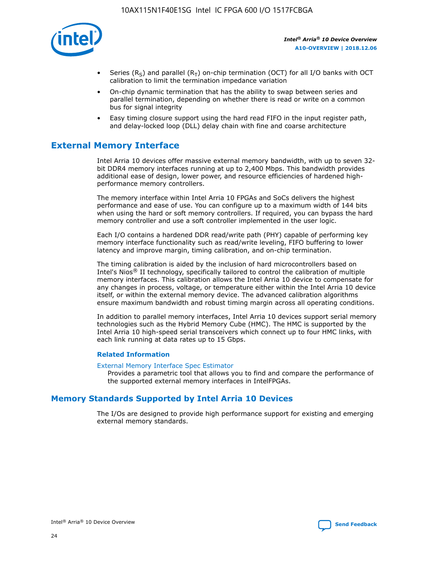

- Series (R<sub>S</sub>) and parallel (R<sub>T</sub>) on-chip termination (OCT) for all I/O banks with OCT calibration to limit the termination impedance variation
- On-chip dynamic termination that has the ability to swap between series and parallel termination, depending on whether there is read or write on a common bus for signal integrity
- Easy timing closure support using the hard read FIFO in the input register path, and delay-locked loop (DLL) delay chain with fine and coarse architecture

# **External Memory Interface**

Intel Arria 10 devices offer massive external memory bandwidth, with up to seven 32 bit DDR4 memory interfaces running at up to 2,400 Mbps. This bandwidth provides additional ease of design, lower power, and resource efficiencies of hardened highperformance memory controllers.

The memory interface within Intel Arria 10 FPGAs and SoCs delivers the highest performance and ease of use. You can configure up to a maximum width of 144 bits when using the hard or soft memory controllers. If required, you can bypass the hard memory controller and use a soft controller implemented in the user logic.

Each I/O contains a hardened DDR read/write path (PHY) capable of performing key memory interface functionality such as read/write leveling, FIFO buffering to lower latency and improve margin, timing calibration, and on-chip termination.

The timing calibration is aided by the inclusion of hard microcontrollers based on Intel's Nios® II technology, specifically tailored to control the calibration of multiple memory interfaces. This calibration allows the Intel Arria 10 device to compensate for any changes in process, voltage, or temperature either within the Intel Arria 10 device itself, or within the external memory device. The advanced calibration algorithms ensure maximum bandwidth and robust timing margin across all operating conditions.

In addition to parallel memory interfaces, Intel Arria 10 devices support serial memory technologies such as the Hybrid Memory Cube (HMC). The HMC is supported by the Intel Arria 10 high-speed serial transceivers which connect up to four HMC links, with each link running at data rates up to 15 Gbps.

#### **Related Information**

#### [External Memory Interface Spec Estimator](http://www.altera.com/technology/memory/estimator/mem-emif-index.html)

Provides a parametric tool that allows you to find and compare the performance of the supported external memory interfaces in IntelFPGAs.

# **Memory Standards Supported by Intel Arria 10 Devices**

The I/Os are designed to provide high performance support for existing and emerging external memory standards.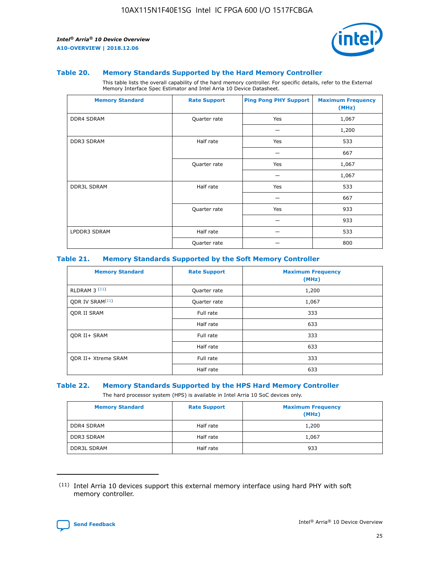

#### **Table 20. Memory Standards Supported by the Hard Memory Controller**

This table lists the overall capability of the hard memory controller. For specific details, refer to the External Memory Interface Spec Estimator and Intel Arria 10 Device Datasheet.

| <b>Memory Standard</b> | <b>Rate Support</b> | <b>Ping Pong PHY Support</b> | <b>Maximum Frequency</b><br>(MHz) |
|------------------------|---------------------|------------------------------|-----------------------------------|
| <b>DDR4 SDRAM</b>      | Quarter rate        | Yes                          | 1,067                             |
|                        |                     |                              | 1,200                             |
| DDR3 SDRAM             | Half rate           | Yes                          | 533                               |
|                        |                     |                              | 667                               |
|                        | Quarter rate        | Yes                          | 1,067                             |
|                        |                     |                              | 1,067                             |
| <b>DDR3L SDRAM</b>     | Half rate           | Yes                          | 533                               |
|                        |                     |                              | 667                               |
|                        | Quarter rate        | Yes                          | 933                               |
|                        |                     |                              | 933                               |
| LPDDR3 SDRAM           | Half rate           |                              | 533                               |
|                        | Quarter rate        |                              | 800                               |

#### **Table 21. Memory Standards Supported by the Soft Memory Controller**

| <b>Memory Standard</b>      | <b>Rate Support</b> | <b>Maximum Frequency</b><br>(MHz) |
|-----------------------------|---------------------|-----------------------------------|
| <b>RLDRAM 3 (11)</b>        | Quarter rate        | 1,200                             |
| ODR IV SRAM <sup>(11)</sup> | Quarter rate        | 1,067                             |
| <b>ODR II SRAM</b>          | Full rate           | 333                               |
|                             | Half rate           | 633                               |
| <b>ODR II+ SRAM</b>         | Full rate           | 333                               |
|                             | Half rate           | 633                               |
| <b>ODR II+ Xtreme SRAM</b>  | Full rate           | 333                               |
|                             | Half rate           | 633                               |

#### **Table 22. Memory Standards Supported by the HPS Hard Memory Controller**

The hard processor system (HPS) is available in Intel Arria 10 SoC devices only.

| <b>Memory Standard</b> | <b>Rate Support</b> | <b>Maximum Frequency</b><br>(MHz) |
|------------------------|---------------------|-----------------------------------|
| <b>DDR4 SDRAM</b>      | Half rate           | 1,200                             |
| <b>DDR3 SDRAM</b>      | Half rate           | 1,067                             |
| <b>DDR3L SDRAM</b>     | Half rate           | 933                               |

<sup>(11)</sup> Intel Arria 10 devices support this external memory interface using hard PHY with soft memory controller.

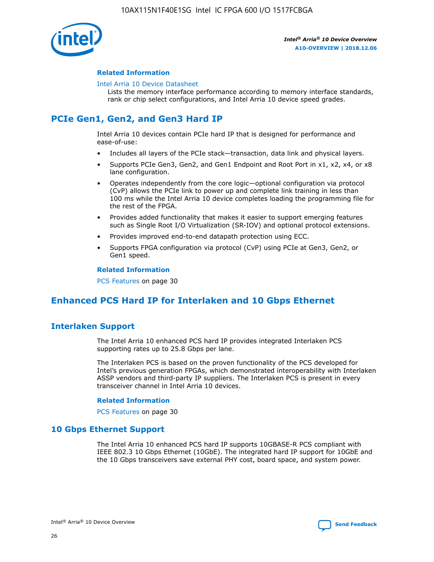

### **Related Information**

#### [Intel Arria 10 Device Datasheet](https://www.intel.com/content/www/us/en/programmable/documentation/mcn1413182292568.html#mcn1413182153340)

Lists the memory interface performance according to memory interface standards, rank or chip select configurations, and Intel Arria 10 device speed grades.

# **PCIe Gen1, Gen2, and Gen3 Hard IP**

Intel Arria 10 devices contain PCIe hard IP that is designed for performance and ease-of-use:

- Includes all layers of the PCIe stack—transaction, data link and physical layers.
- Supports PCIe Gen3, Gen2, and Gen1 Endpoint and Root Port in x1, x2, x4, or x8 lane configuration.
- Operates independently from the core logic—optional configuration via protocol (CvP) allows the PCIe link to power up and complete link training in less than 100 ms while the Intel Arria 10 device completes loading the programming file for the rest of the FPGA.
- Provides added functionality that makes it easier to support emerging features such as Single Root I/O Virtualization (SR-IOV) and optional protocol extensions.
- Provides improved end-to-end datapath protection using ECC.
- Supports FPGA configuration via protocol (CvP) using PCIe at Gen3, Gen2, or Gen1 speed.

#### **Related Information**

PCS Features on page 30

# **Enhanced PCS Hard IP for Interlaken and 10 Gbps Ethernet**

# **Interlaken Support**

The Intel Arria 10 enhanced PCS hard IP provides integrated Interlaken PCS supporting rates up to 25.8 Gbps per lane.

The Interlaken PCS is based on the proven functionality of the PCS developed for Intel's previous generation FPGAs, which demonstrated interoperability with Interlaken ASSP vendors and third-party IP suppliers. The Interlaken PCS is present in every transceiver channel in Intel Arria 10 devices.

#### **Related Information**

PCS Features on page 30

# **10 Gbps Ethernet Support**

The Intel Arria 10 enhanced PCS hard IP supports 10GBASE-R PCS compliant with IEEE 802.3 10 Gbps Ethernet (10GbE). The integrated hard IP support for 10GbE and the 10 Gbps transceivers save external PHY cost, board space, and system power.

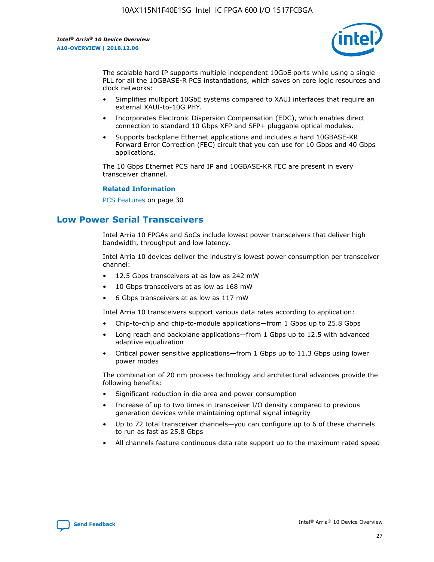

The scalable hard IP supports multiple independent 10GbE ports while using a single PLL for all the 10GBASE-R PCS instantiations, which saves on core logic resources and clock networks:

- Simplifies multiport 10GbE systems compared to XAUI interfaces that require an external XAUI-to-10G PHY.
- Incorporates Electronic Dispersion Compensation (EDC), which enables direct connection to standard 10 Gbps XFP and SFP+ pluggable optical modules.
- Supports backplane Ethernet applications and includes a hard 10GBASE-KR Forward Error Correction (FEC) circuit that you can use for 10 Gbps and 40 Gbps applications.

The 10 Gbps Ethernet PCS hard IP and 10GBASE-KR FEC are present in every transceiver channel.

#### **Related Information**

PCS Features on page 30

# **Low Power Serial Transceivers**

Intel Arria 10 FPGAs and SoCs include lowest power transceivers that deliver high bandwidth, throughput and low latency.

Intel Arria 10 devices deliver the industry's lowest power consumption per transceiver channel:

- 12.5 Gbps transceivers at as low as 242 mW
- 10 Gbps transceivers at as low as 168 mW
- 6 Gbps transceivers at as low as 117 mW

Intel Arria 10 transceivers support various data rates according to application:

- Chip-to-chip and chip-to-module applications—from 1 Gbps up to 25.8 Gbps
- Long reach and backplane applications—from 1 Gbps up to 12.5 with advanced adaptive equalization
- Critical power sensitive applications—from 1 Gbps up to 11.3 Gbps using lower power modes

The combination of 20 nm process technology and architectural advances provide the following benefits:

- Significant reduction in die area and power consumption
- Increase of up to two times in transceiver I/O density compared to previous generation devices while maintaining optimal signal integrity
- Up to 72 total transceiver channels—you can configure up to 6 of these channels to run as fast as 25.8 Gbps
- All channels feature continuous data rate support up to the maximum rated speed

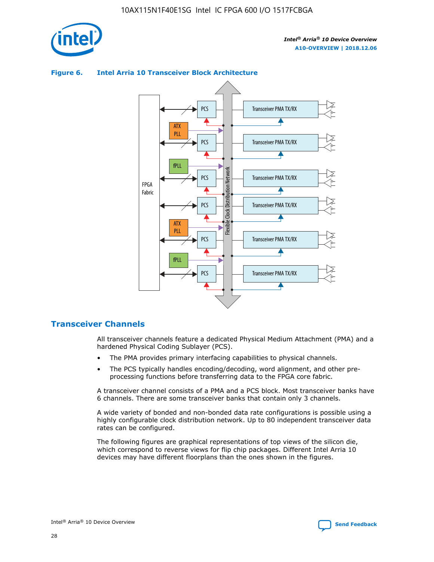



## **Figure 6. Intel Arria 10 Transceiver Block Architecture**

# **Transceiver Channels**

All transceiver channels feature a dedicated Physical Medium Attachment (PMA) and a hardened Physical Coding Sublayer (PCS).

- The PMA provides primary interfacing capabilities to physical channels.
- The PCS typically handles encoding/decoding, word alignment, and other preprocessing functions before transferring data to the FPGA core fabric.

A transceiver channel consists of a PMA and a PCS block. Most transceiver banks have 6 channels. There are some transceiver banks that contain only 3 channels.

A wide variety of bonded and non-bonded data rate configurations is possible using a highly configurable clock distribution network. Up to 80 independent transceiver data rates can be configured.

The following figures are graphical representations of top views of the silicon die, which correspond to reverse views for flip chip packages. Different Intel Arria 10 devices may have different floorplans than the ones shown in the figures.

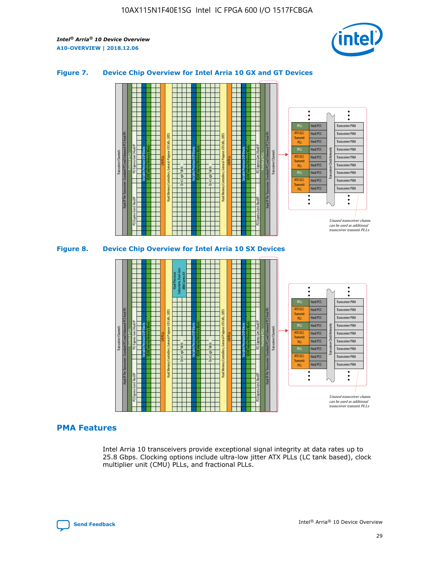

## **Figure 7. Device Chip Overview for Intel Arria 10 GX and GT Devices**





# **PMA Features**

Intel Arria 10 transceivers provide exceptional signal integrity at data rates up to 25.8 Gbps. Clocking options include ultra-low jitter ATX PLLs (LC tank based), clock multiplier unit (CMU) PLLs, and fractional PLLs.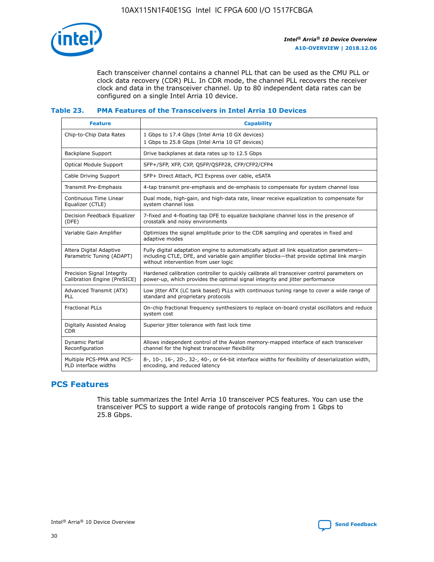

Each transceiver channel contains a channel PLL that can be used as the CMU PLL or clock data recovery (CDR) PLL. In CDR mode, the channel PLL recovers the receiver clock and data in the transceiver channel. Up to 80 independent data rates can be configured on a single Intel Arria 10 device.

## **Table 23. PMA Features of the Transceivers in Intel Arria 10 Devices**

| <b>Feature</b>                                             | <b>Capability</b>                                                                                                                                                                                                             |
|------------------------------------------------------------|-------------------------------------------------------------------------------------------------------------------------------------------------------------------------------------------------------------------------------|
| Chip-to-Chip Data Rates                                    | 1 Gbps to 17.4 Gbps (Intel Arria 10 GX devices)<br>1 Gbps to 25.8 Gbps (Intel Arria 10 GT devices)                                                                                                                            |
| Backplane Support                                          | Drive backplanes at data rates up to 12.5 Gbps                                                                                                                                                                                |
| <b>Optical Module Support</b>                              | SFP+/SFP, XFP, CXP, QSFP/QSFP28, CFP/CFP2/CFP4                                                                                                                                                                                |
| Cable Driving Support                                      | SFP+ Direct Attach, PCI Express over cable, eSATA                                                                                                                                                                             |
| Transmit Pre-Emphasis                                      | 4-tap transmit pre-emphasis and de-emphasis to compensate for system channel loss                                                                                                                                             |
| Continuous Time Linear<br>Equalizer (CTLE)                 | Dual mode, high-gain, and high-data rate, linear receive equalization to compensate for<br>system channel loss                                                                                                                |
| Decision Feedback Equalizer<br>(DFE)                       | 7-fixed and 4-floating tap DFE to equalize backplane channel loss in the presence of<br>crosstalk and noisy environments                                                                                                      |
| Variable Gain Amplifier                                    | Optimizes the signal amplitude prior to the CDR sampling and operates in fixed and<br>adaptive modes                                                                                                                          |
| Altera Digital Adaptive<br>Parametric Tuning (ADAPT)       | Fully digital adaptation engine to automatically adjust all link equalization parameters-<br>including CTLE, DFE, and variable gain amplifier blocks—that provide optimal link margin<br>without intervention from user logic |
| Precision Signal Integrity<br>Calibration Engine (PreSICE) | Hardened calibration controller to quickly calibrate all transceiver control parameters on<br>power-up, which provides the optimal signal integrity and jitter performance                                                    |
| Advanced Transmit (ATX)<br>PLL                             | Low jitter ATX (LC tank based) PLLs with continuous tuning range to cover a wide range of<br>standard and proprietary protocols                                                                                               |
| <b>Fractional PLLs</b>                                     | On-chip fractional frequency synthesizers to replace on-board crystal oscillators and reduce<br>system cost                                                                                                                   |
| Digitally Assisted Analog<br><b>CDR</b>                    | Superior jitter tolerance with fast lock time                                                                                                                                                                                 |
| Dynamic Partial<br>Reconfiguration                         | Allows independent control of the Avalon memory-mapped interface of each transceiver<br>channel for the highest transceiver flexibility                                                                                       |
| Multiple PCS-PMA and PCS-<br>PLD interface widths          | 8-, 10-, 16-, 20-, 32-, 40-, or 64-bit interface widths for flexibility of deserialization width,<br>encoding, and reduced latency                                                                                            |

# **PCS Features**

This table summarizes the Intel Arria 10 transceiver PCS features. You can use the transceiver PCS to support a wide range of protocols ranging from 1 Gbps to 25.8 Gbps.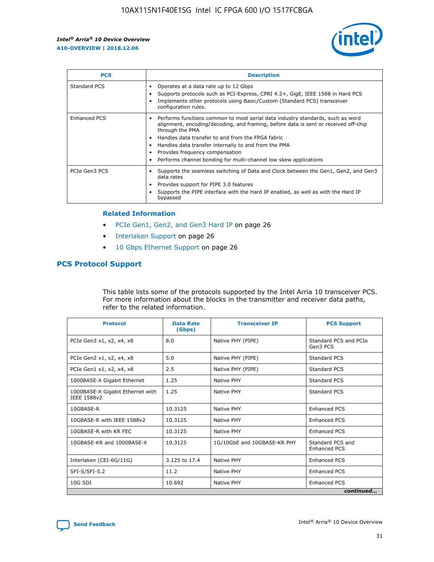

| <b>PCS</b>    | <b>Description</b>                                                                                                                                                                                                                                                                                                                                                                                             |
|---------------|----------------------------------------------------------------------------------------------------------------------------------------------------------------------------------------------------------------------------------------------------------------------------------------------------------------------------------------------------------------------------------------------------------------|
| Standard PCS  | Operates at a data rate up to 12 Gbps<br>Supports protocols such as PCI-Express, CPRI 4.2+, GigE, IEEE 1588 in Hard PCS<br>Implements other protocols using Basic/Custom (Standard PCS) transceiver<br>configuration rules.                                                                                                                                                                                    |
| Enhanced PCS  | Performs functions common to most serial data industry standards, such as word<br>alignment, encoding/decoding, and framing, before data is sent or received off-chip<br>through the PMA<br>• Handles data transfer to and from the FPGA fabric<br>Handles data transfer internally to and from the PMA<br>Provides frequency compensation<br>Performs channel bonding for multi-channel low skew applications |
| PCIe Gen3 PCS | Supports the seamless switching of Data and Clock between the Gen1, Gen2, and Gen3<br>data rates<br>Provides support for PIPE 3.0 features<br>Supports the PIPE interface with the Hard IP enabled, as well as with the Hard IP<br>bypassed                                                                                                                                                                    |

#### **Related Information**

- PCIe Gen1, Gen2, and Gen3 Hard IP on page 26
- Interlaken Support on page 26
- 10 Gbps Ethernet Support on page 26

# **PCS Protocol Support**

This table lists some of the protocols supported by the Intel Arria 10 transceiver PCS. For more information about the blocks in the transmitter and receiver data paths, refer to the related information.

| <b>Protocol</b>                                 | <b>Data Rate</b><br>(Gbps) | <b>Transceiver IP</b>       | <b>PCS Support</b>                      |
|-------------------------------------------------|----------------------------|-----------------------------|-----------------------------------------|
| PCIe Gen3 x1, x2, x4, x8                        | 8.0                        | Native PHY (PIPE)           | Standard PCS and PCIe<br>Gen3 PCS       |
| PCIe Gen2 x1, x2, x4, x8                        | 5.0                        | Native PHY (PIPE)           | <b>Standard PCS</b>                     |
| PCIe Gen1 x1, x2, x4, x8                        | 2.5                        | Native PHY (PIPE)           | Standard PCS                            |
| 1000BASE-X Gigabit Ethernet                     | 1.25                       | Native PHY                  | <b>Standard PCS</b>                     |
| 1000BASE-X Gigabit Ethernet with<br>IEEE 1588v2 | 1.25                       | Native PHY                  | Standard PCS                            |
| 10GBASE-R                                       | 10.3125                    | Native PHY                  | <b>Enhanced PCS</b>                     |
| 10GBASE-R with IEEE 1588v2                      | 10.3125                    | Native PHY                  | <b>Enhanced PCS</b>                     |
| 10GBASE-R with KR FEC                           | 10.3125                    | Native PHY                  | <b>Enhanced PCS</b>                     |
| 10GBASE-KR and 1000BASE-X                       | 10.3125                    | 1G/10GbE and 10GBASE-KR PHY | Standard PCS and<br><b>Enhanced PCS</b> |
| Interlaken (CEI-6G/11G)                         | 3.125 to 17.4              | Native PHY                  | <b>Enhanced PCS</b>                     |
| SFI-S/SFI-5.2                                   | 11.2                       | Native PHY                  | <b>Enhanced PCS</b>                     |
| $10G$ SDI                                       | 10.692                     | Native PHY                  | <b>Enhanced PCS</b>                     |
|                                                 |                            |                             | continued                               |

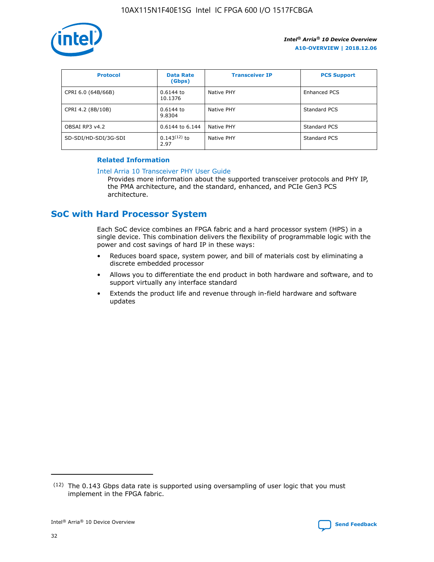

| <b>Protocol</b>      | <b>Data Rate</b><br>(Gbps) | <b>Transceiver IP</b> | <b>PCS Support</b> |
|----------------------|----------------------------|-----------------------|--------------------|
| CPRI 6.0 (64B/66B)   | 0.6144 to<br>10.1376       | Native PHY            | Enhanced PCS       |
| CPRI 4.2 (8B/10B)    | 0.6144 to<br>9.8304        | Native PHY            | Standard PCS       |
| OBSAI RP3 v4.2       | 0.6144 to 6.144            | Native PHY            | Standard PCS       |
| SD-SDI/HD-SDI/3G-SDI | $0.143(12)$ to<br>2.97     | Native PHY            | Standard PCS       |

# **Related Information**

#### [Intel Arria 10 Transceiver PHY User Guide](https://www.intel.com/content/www/us/en/programmable/documentation/nik1398707230472.html#nik1398707091164)

Provides more information about the supported transceiver protocols and PHY IP, the PMA architecture, and the standard, enhanced, and PCIe Gen3 PCS architecture.

# **SoC with Hard Processor System**

Each SoC device combines an FPGA fabric and a hard processor system (HPS) in a single device. This combination delivers the flexibility of programmable logic with the power and cost savings of hard IP in these ways:

- Reduces board space, system power, and bill of materials cost by eliminating a discrete embedded processor
- Allows you to differentiate the end product in both hardware and software, and to support virtually any interface standard
- Extends the product life and revenue through in-field hardware and software updates

<sup>(12)</sup> The 0.143 Gbps data rate is supported using oversampling of user logic that you must implement in the FPGA fabric.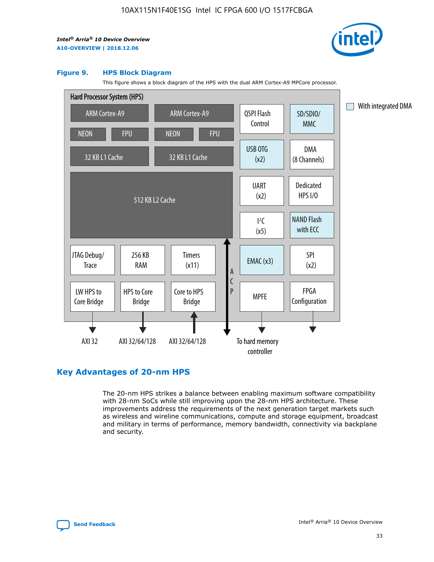

#### **Figure 9. HPS Block Diagram**

This figure shows a block diagram of the HPS with the dual ARM Cortex-A9 MPCore processor.



# **Key Advantages of 20-nm HPS**

The 20-nm HPS strikes a balance between enabling maximum software compatibility with 28-nm SoCs while still improving upon the 28-nm HPS architecture. These improvements address the requirements of the next generation target markets such as wireless and wireline communications, compute and storage equipment, broadcast and military in terms of performance, memory bandwidth, connectivity via backplane and security.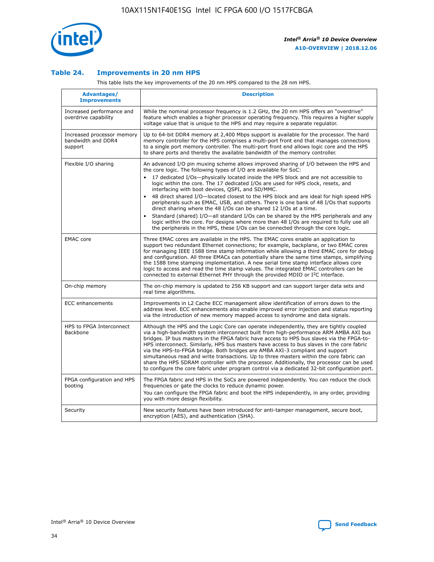

## **Table 24. Improvements in 20 nm HPS**

This table lists the key improvements of the 20 nm HPS compared to the 28 nm HPS.

| Advantages/<br><b>Improvements</b>                          | <b>Description</b>                                                                                                                                                                                                                                                                                                                                                                                                                                                                                                                                                                                                                                                                                                                                                                                                                   |
|-------------------------------------------------------------|--------------------------------------------------------------------------------------------------------------------------------------------------------------------------------------------------------------------------------------------------------------------------------------------------------------------------------------------------------------------------------------------------------------------------------------------------------------------------------------------------------------------------------------------------------------------------------------------------------------------------------------------------------------------------------------------------------------------------------------------------------------------------------------------------------------------------------------|
| Increased performance and<br>overdrive capability           | While the nominal processor frequency is 1.2 GHz, the 20 nm HPS offers an "overdrive"<br>feature which enables a higher processor operating frequency. This requires a higher supply<br>voltage value that is unique to the HPS and may require a separate regulator.                                                                                                                                                                                                                                                                                                                                                                                                                                                                                                                                                                |
| Increased processor memory<br>bandwidth and DDR4<br>support | Up to 64-bit DDR4 memory at 2,400 Mbps support is available for the processor. The hard<br>memory controller for the HPS comprises a multi-port front end that manages connections<br>to a single port memory controller. The multi-port front end allows logic core and the HPS<br>to share ports and thereby the available bandwidth of the memory controller.                                                                                                                                                                                                                                                                                                                                                                                                                                                                     |
| Flexible I/O sharing                                        | An advanced I/O pin muxing scheme allows improved sharing of I/O between the HPS and<br>the core logic. The following types of I/O are available for SoC:<br>17 dedicated I/Os-physically located inside the HPS block and are not accessible to<br>logic within the core. The 17 dedicated I/Os are used for HPS clock, resets, and<br>interfacing with boot devices, QSPI, and SD/MMC.<br>48 direct shared I/O-located closest to the HPS block and are ideal for high speed HPS<br>peripherals such as EMAC, USB, and others. There is one bank of 48 I/Os that supports<br>direct sharing where the 48 I/Os can be shared 12 I/Os at a time.<br>Standard (shared) I/O-all standard I/Os can be shared by the HPS peripherals and any<br>logic within the core. For designs where more than 48 I/Os are reguired to fully use all |
| <b>EMAC</b> core                                            | the peripherals in the HPS, these I/Os can be connected through the core logic.<br>Three EMAC cores are available in the HPS. The EMAC cores enable an application to<br>support two redundant Ethernet connections; for example, backplane, or two EMAC cores<br>for managing IEEE 1588 time stamp information while allowing a third EMAC core for debug<br>and configuration. All three EMACs can potentially share the same time stamps, simplifying<br>the 1588 time stamping implementation. A new serial time stamp interface allows core<br>logic to access and read the time stamp values. The integrated EMAC controllers can be<br>connected to external Ethernet PHY through the provided MDIO or I <sup>2</sup> C interface.                                                                                            |
| On-chip memory                                              | The on-chip memory is updated to 256 KB support and can support larger data sets and<br>real time algorithms.                                                                                                                                                                                                                                                                                                                                                                                                                                                                                                                                                                                                                                                                                                                        |
| <b>ECC</b> enhancements                                     | Improvements in L2 Cache ECC management allow identification of errors down to the<br>address level. ECC enhancements also enable improved error injection and status reporting<br>via the introduction of new memory mapped access to syndrome and data signals.                                                                                                                                                                                                                                                                                                                                                                                                                                                                                                                                                                    |
| HPS to FPGA Interconnect<br>Backbone                        | Although the HPS and the Logic Core can operate independently, they are tightly coupled<br>via a high-bandwidth system interconnect built from high-performance ARM AMBA AXI bus<br>bridges. IP bus masters in the FPGA fabric have access to HPS bus slaves via the FPGA-to-<br>HPS interconnect. Similarly, HPS bus masters have access to bus slaves in the core fabric<br>via the HPS-to-FPGA bridge. Both bridges are AMBA AXI-3 compliant and support<br>simultaneous read and write transactions. Up to three masters within the core fabric can<br>share the HPS SDRAM controller with the processor. Additionally, the processor can be used<br>to configure the core fabric under program control via a dedicated 32-bit configuration port.                                                                               |
| FPGA configuration and HPS<br>booting                       | The FPGA fabric and HPS in the SoCs are powered independently. You can reduce the clock<br>frequencies or gate the clocks to reduce dynamic power.<br>You can configure the FPGA fabric and boot the HPS independently, in any order, providing<br>you with more design flexibility.                                                                                                                                                                                                                                                                                                                                                                                                                                                                                                                                                 |
| Security                                                    | New security features have been introduced for anti-tamper management, secure boot,<br>encryption (AES), and authentication (SHA).                                                                                                                                                                                                                                                                                                                                                                                                                                                                                                                                                                                                                                                                                                   |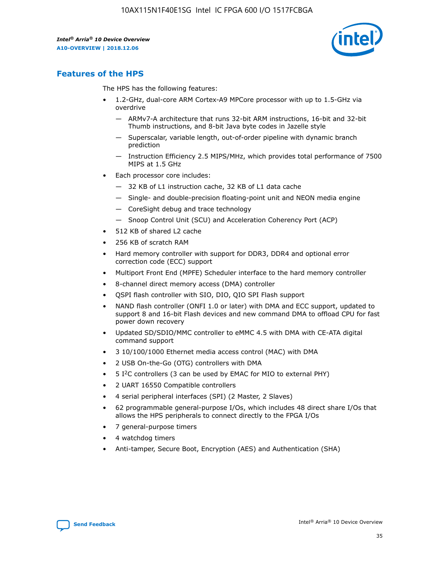

# **Features of the HPS**

The HPS has the following features:

- 1.2-GHz, dual-core ARM Cortex-A9 MPCore processor with up to 1.5-GHz via overdrive
	- ARMv7-A architecture that runs 32-bit ARM instructions, 16-bit and 32-bit Thumb instructions, and 8-bit Java byte codes in Jazelle style
	- Superscalar, variable length, out-of-order pipeline with dynamic branch prediction
	- Instruction Efficiency 2.5 MIPS/MHz, which provides total performance of 7500 MIPS at 1.5 GHz
- Each processor core includes:
	- 32 KB of L1 instruction cache, 32 KB of L1 data cache
	- Single- and double-precision floating-point unit and NEON media engine
	- CoreSight debug and trace technology
	- Snoop Control Unit (SCU) and Acceleration Coherency Port (ACP)
- 512 KB of shared L2 cache
- 256 KB of scratch RAM
- Hard memory controller with support for DDR3, DDR4 and optional error correction code (ECC) support
- Multiport Front End (MPFE) Scheduler interface to the hard memory controller
- 8-channel direct memory access (DMA) controller
- QSPI flash controller with SIO, DIO, QIO SPI Flash support
- NAND flash controller (ONFI 1.0 or later) with DMA and ECC support, updated to support 8 and 16-bit Flash devices and new command DMA to offload CPU for fast power down recovery
- Updated SD/SDIO/MMC controller to eMMC 4.5 with DMA with CE-ATA digital command support
- 3 10/100/1000 Ethernet media access control (MAC) with DMA
- 2 USB On-the-Go (OTG) controllers with DMA
- $\bullet$  5 I<sup>2</sup>C controllers (3 can be used by EMAC for MIO to external PHY)
- 2 UART 16550 Compatible controllers
- 4 serial peripheral interfaces (SPI) (2 Master, 2 Slaves)
- 62 programmable general-purpose I/Os, which includes 48 direct share I/Os that allows the HPS peripherals to connect directly to the FPGA I/Os
- 7 general-purpose timers
- 4 watchdog timers
- Anti-tamper, Secure Boot, Encryption (AES) and Authentication (SHA)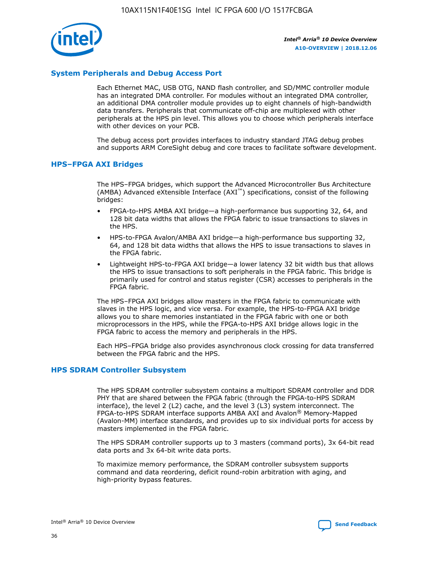

# **System Peripherals and Debug Access Port**

Each Ethernet MAC, USB OTG, NAND flash controller, and SD/MMC controller module has an integrated DMA controller. For modules without an integrated DMA controller, an additional DMA controller module provides up to eight channels of high-bandwidth data transfers. Peripherals that communicate off-chip are multiplexed with other peripherals at the HPS pin level. This allows you to choose which peripherals interface with other devices on your PCB.

The debug access port provides interfaces to industry standard JTAG debug probes and supports ARM CoreSight debug and core traces to facilitate software development.

## **HPS–FPGA AXI Bridges**

The HPS–FPGA bridges, which support the Advanced Microcontroller Bus Architecture (AMBA) Advanced eXtensible Interface (AXI™) specifications, consist of the following bridges:

- FPGA-to-HPS AMBA AXI bridge—a high-performance bus supporting 32, 64, and 128 bit data widths that allows the FPGA fabric to issue transactions to slaves in the HPS.
- HPS-to-FPGA Avalon/AMBA AXI bridge—a high-performance bus supporting 32, 64, and 128 bit data widths that allows the HPS to issue transactions to slaves in the FPGA fabric.
- Lightweight HPS-to-FPGA AXI bridge—a lower latency 32 bit width bus that allows the HPS to issue transactions to soft peripherals in the FPGA fabric. This bridge is primarily used for control and status register (CSR) accesses to peripherals in the FPGA fabric.

The HPS–FPGA AXI bridges allow masters in the FPGA fabric to communicate with slaves in the HPS logic, and vice versa. For example, the HPS-to-FPGA AXI bridge allows you to share memories instantiated in the FPGA fabric with one or both microprocessors in the HPS, while the FPGA-to-HPS AXI bridge allows logic in the FPGA fabric to access the memory and peripherals in the HPS.

Each HPS–FPGA bridge also provides asynchronous clock crossing for data transferred between the FPGA fabric and the HPS.

#### **HPS SDRAM Controller Subsystem**

The HPS SDRAM controller subsystem contains a multiport SDRAM controller and DDR PHY that are shared between the FPGA fabric (through the FPGA-to-HPS SDRAM interface), the level 2 (L2) cache, and the level 3 (L3) system interconnect. The FPGA-to-HPS SDRAM interface supports AMBA AXI and Avalon® Memory-Mapped (Avalon-MM) interface standards, and provides up to six individual ports for access by masters implemented in the FPGA fabric.

The HPS SDRAM controller supports up to 3 masters (command ports), 3x 64-bit read data ports and 3x 64-bit write data ports.

To maximize memory performance, the SDRAM controller subsystem supports command and data reordering, deficit round-robin arbitration with aging, and high-priority bypass features.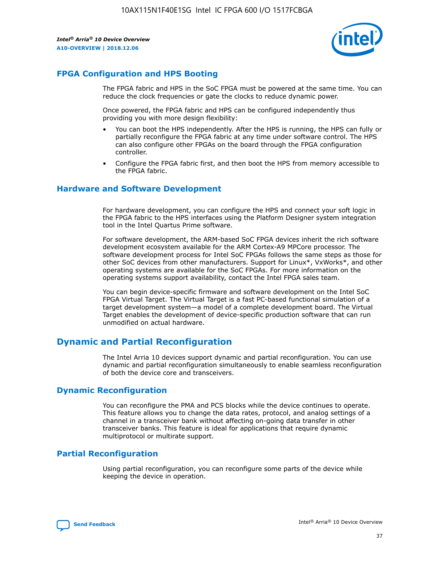

# **FPGA Configuration and HPS Booting**

The FPGA fabric and HPS in the SoC FPGA must be powered at the same time. You can reduce the clock frequencies or gate the clocks to reduce dynamic power.

Once powered, the FPGA fabric and HPS can be configured independently thus providing you with more design flexibility:

- You can boot the HPS independently. After the HPS is running, the HPS can fully or partially reconfigure the FPGA fabric at any time under software control. The HPS can also configure other FPGAs on the board through the FPGA configuration controller.
- Configure the FPGA fabric first, and then boot the HPS from memory accessible to the FPGA fabric.

## **Hardware and Software Development**

For hardware development, you can configure the HPS and connect your soft logic in the FPGA fabric to the HPS interfaces using the Platform Designer system integration tool in the Intel Quartus Prime software.

For software development, the ARM-based SoC FPGA devices inherit the rich software development ecosystem available for the ARM Cortex-A9 MPCore processor. The software development process for Intel SoC FPGAs follows the same steps as those for other SoC devices from other manufacturers. Support for Linux\*, VxWorks\*, and other operating systems are available for the SoC FPGAs. For more information on the operating systems support availability, contact the Intel FPGA sales team.

You can begin device-specific firmware and software development on the Intel SoC FPGA Virtual Target. The Virtual Target is a fast PC-based functional simulation of a target development system—a model of a complete development board. The Virtual Target enables the development of device-specific production software that can run unmodified on actual hardware.

# **Dynamic and Partial Reconfiguration**

The Intel Arria 10 devices support dynamic and partial reconfiguration. You can use dynamic and partial reconfiguration simultaneously to enable seamless reconfiguration of both the device core and transceivers.

# **Dynamic Reconfiguration**

You can reconfigure the PMA and PCS blocks while the device continues to operate. This feature allows you to change the data rates, protocol, and analog settings of a channel in a transceiver bank without affecting on-going data transfer in other transceiver banks. This feature is ideal for applications that require dynamic multiprotocol or multirate support.

# **Partial Reconfiguration**

Using partial reconfiguration, you can reconfigure some parts of the device while keeping the device in operation.

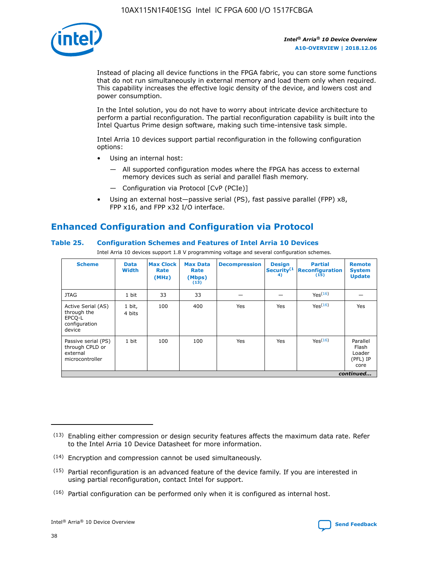

Instead of placing all device functions in the FPGA fabric, you can store some functions that do not run simultaneously in external memory and load them only when required. This capability increases the effective logic density of the device, and lowers cost and power consumption.

In the Intel solution, you do not have to worry about intricate device architecture to perform a partial reconfiguration. The partial reconfiguration capability is built into the Intel Quartus Prime design software, making such time-intensive task simple.

Intel Arria 10 devices support partial reconfiguration in the following configuration options:

- Using an internal host:
	- All supported configuration modes where the FPGA has access to external memory devices such as serial and parallel flash memory.
	- Configuration via Protocol [CvP (PCIe)]
- Using an external host—passive serial (PS), fast passive parallel (FPP) x8, FPP x16, and FPP x32 I/O interface.

# **Enhanced Configuration and Configuration via Protocol**

## **Table 25. Configuration Schemes and Features of Intel Arria 10 Devices**

Intel Arria 10 devices support 1.8 V programming voltage and several configuration schemes.

| <b>Scheme</b>                                                          | <b>Data</b><br><b>Width</b> | <b>Max Clock</b><br>Rate<br>(MHz) | <b>Max Data</b><br>Rate<br>(Mbps)<br>(13) | <b>Decompression</b> | <b>Design</b><br>Security <sup>(1</sup><br>4) | <b>Partial</b><br>Reconfiguration<br>(15) | <b>Remote</b><br><b>System</b><br><b>Update</b> |
|------------------------------------------------------------------------|-----------------------------|-----------------------------------|-------------------------------------------|----------------------|-----------------------------------------------|-------------------------------------------|-------------------------------------------------|
| <b>JTAG</b>                                                            | 1 bit                       | 33                                | 33                                        |                      |                                               | Yes <sup>(16)</sup>                       |                                                 |
| Active Serial (AS)<br>through the<br>EPCO-L<br>configuration<br>device | 1 bit,<br>4 bits            | 100                               | 400                                       | Yes                  | Yes                                           | $Y_{PS}(16)$                              | Yes                                             |
| Passive serial (PS)<br>through CPLD or<br>external<br>microcontroller  | 1 bit                       | 100                               | 100                                       | Yes                  | Yes                                           | Yes(16)                                   | Parallel<br>Flash<br>Loader<br>(PFL) IP<br>core |
|                                                                        | continued                   |                                   |                                           |                      |                                               |                                           |                                                 |

<sup>(13)</sup> Enabling either compression or design security features affects the maximum data rate. Refer to the Intel Arria 10 Device Datasheet for more information.

<sup>(14)</sup> Encryption and compression cannot be used simultaneously.

 $(15)$  Partial reconfiguration is an advanced feature of the device family. If you are interested in using partial reconfiguration, contact Intel for support.

 $(16)$  Partial configuration can be performed only when it is configured as internal host.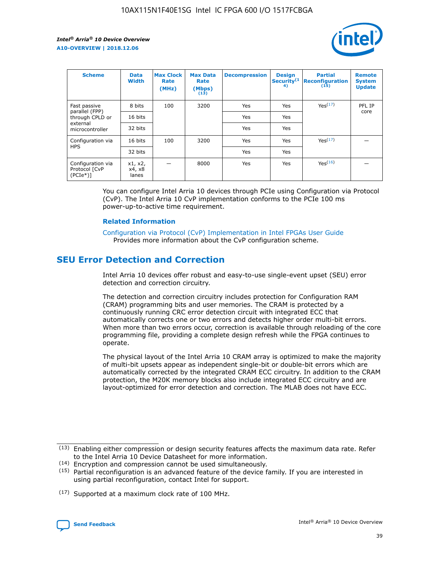

| <b>Scheme</b>                                    | <b>Data</b><br><b>Width</b> | <b>Max Clock</b><br>Rate<br>(MHz) | <b>Max Data</b><br>Rate<br>(Mbps)<br>(13) | <b>Decompression</b> | <b>Design</b><br>Security <sup>(1</sup><br>4) | <b>Partial</b><br><b>Reconfiguration</b><br>(15) | <b>Remote</b><br><b>System</b><br><b>Update</b> |
|--------------------------------------------------|-----------------------------|-----------------------------------|-------------------------------------------|----------------------|-----------------------------------------------|--------------------------------------------------|-------------------------------------------------|
| Fast passive                                     | 8 bits                      | 100                               | 3200                                      | Yes                  | Yes                                           | Yes(17)                                          | PFL IP                                          |
| parallel (FPP)<br>through CPLD or                | 16 bits                     |                                   |                                           | Yes                  | Yes                                           |                                                  | core                                            |
| external<br>microcontroller                      | 32 bits                     |                                   |                                           | Yes                  | Yes                                           |                                                  |                                                 |
| Configuration via                                | 16 bits                     | 100                               | 3200                                      | Yes                  | Yes                                           | Yes <sup>(17)</sup>                              |                                                 |
| <b>HPS</b>                                       | 32 bits                     |                                   |                                           | Yes                  | Yes                                           |                                                  |                                                 |
| Configuration via<br>Protocol [CvP<br>$(PCIe^*)$ | x1, x2,<br>x4, x8<br>lanes  |                                   | 8000                                      | Yes                  | Yes                                           | Yes(16)                                          |                                                 |

You can configure Intel Arria 10 devices through PCIe using Configuration via Protocol (CvP). The Intel Arria 10 CvP implementation conforms to the PCIe 100 ms power-up-to-active time requirement.

#### **Related Information**

[Configuration via Protocol \(CvP\) Implementation in Intel FPGAs User Guide](https://www.intel.com/content/www/us/en/programmable/documentation/dsu1441819344145.html#dsu1442269728522) Provides more information about the CvP configuration scheme.

# **SEU Error Detection and Correction**

Intel Arria 10 devices offer robust and easy-to-use single-event upset (SEU) error detection and correction circuitry.

The detection and correction circuitry includes protection for Configuration RAM (CRAM) programming bits and user memories. The CRAM is protected by a continuously running CRC error detection circuit with integrated ECC that automatically corrects one or two errors and detects higher order multi-bit errors. When more than two errors occur, correction is available through reloading of the core programming file, providing a complete design refresh while the FPGA continues to operate.

The physical layout of the Intel Arria 10 CRAM array is optimized to make the majority of multi-bit upsets appear as independent single-bit or double-bit errors which are automatically corrected by the integrated CRAM ECC circuitry. In addition to the CRAM protection, the M20K memory blocks also include integrated ECC circuitry and are layout-optimized for error detection and correction. The MLAB does not have ECC.

(14) Encryption and compression cannot be used simultaneously.

<sup>(17)</sup> Supported at a maximum clock rate of 100 MHz.



 $(13)$  Enabling either compression or design security features affects the maximum data rate. Refer to the Intel Arria 10 Device Datasheet for more information.

 $(15)$  Partial reconfiguration is an advanced feature of the device family. If you are interested in using partial reconfiguration, contact Intel for support.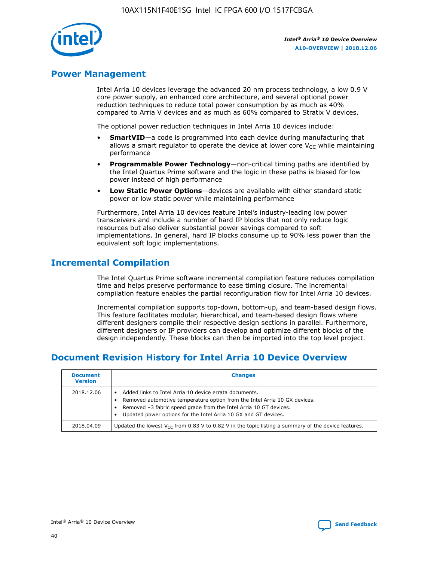

# **Power Management**

Intel Arria 10 devices leverage the advanced 20 nm process technology, a low 0.9 V core power supply, an enhanced core architecture, and several optional power reduction techniques to reduce total power consumption by as much as 40% compared to Arria V devices and as much as 60% compared to Stratix V devices.

The optional power reduction techniques in Intel Arria 10 devices include:

- **SmartVID**—a code is programmed into each device during manufacturing that allows a smart regulator to operate the device at lower core  $V_{CC}$  while maintaining performance
- **Programmable Power Technology**—non-critical timing paths are identified by the Intel Quartus Prime software and the logic in these paths is biased for low power instead of high performance
- **Low Static Power Options**—devices are available with either standard static power or low static power while maintaining performance

Furthermore, Intel Arria 10 devices feature Intel's industry-leading low power transceivers and include a number of hard IP blocks that not only reduce logic resources but also deliver substantial power savings compared to soft implementations. In general, hard IP blocks consume up to 90% less power than the equivalent soft logic implementations.

# **Incremental Compilation**

The Intel Quartus Prime software incremental compilation feature reduces compilation time and helps preserve performance to ease timing closure. The incremental compilation feature enables the partial reconfiguration flow for Intel Arria 10 devices.

Incremental compilation supports top-down, bottom-up, and team-based design flows. This feature facilitates modular, hierarchical, and team-based design flows where different designers compile their respective design sections in parallel. Furthermore, different designers or IP providers can develop and optimize different blocks of the design independently. These blocks can then be imported into the top level project.

# **Document Revision History for Intel Arria 10 Device Overview**

| <b>Document</b><br><b>Version</b> | <b>Changes</b>                                                                                                                                                                                                                                                              |
|-----------------------------------|-----------------------------------------------------------------------------------------------------------------------------------------------------------------------------------------------------------------------------------------------------------------------------|
| 2018.12.06                        | Added links to Intel Arria 10 device errata documents.<br>Removed automotive temperature option from the Intel Arria 10 GX devices.<br>Removed -3 fabric speed grade from the Intel Arria 10 GT devices.<br>Updated power options for the Intel Arria 10 GX and GT devices. |
| 2018.04.09                        | Updated the lowest $V_{CC}$ from 0.83 V to 0.82 V in the topic listing a summary of the device features.                                                                                                                                                                    |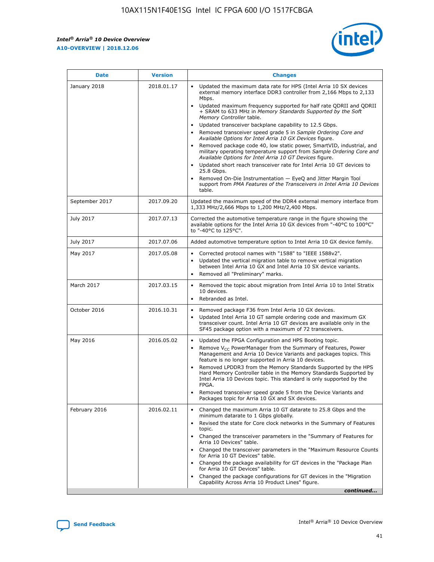*Intel® Arria® 10 Device Overview* **A10-OVERVIEW | 2018.12.06**



| <b>Date</b>    | <b>Version</b> | <b>Changes</b>                                                                                                                                                                                                                                                                                                                                                                                                                                                                                                                                                                                                                                                                                                                                                                                                                                                                                                                                                            |
|----------------|----------------|---------------------------------------------------------------------------------------------------------------------------------------------------------------------------------------------------------------------------------------------------------------------------------------------------------------------------------------------------------------------------------------------------------------------------------------------------------------------------------------------------------------------------------------------------------------------------------------------------------------------------------------------------------------------------------------------------------------------------------------------------------------------------------------------------------------------------------------------------------------------------------------------------------------------------------------------------------------------------|
| January 2018   | 2018.01.17     | Updated the maximum data rate for HPS (Intel Arria 10 SX devices<br>external memory interface DDR3 controller from 2,166 Mbps to 2,133<br>Mbps.<br>Updated maximum frequency supported for half rate QDRII and QDRII<br>+ SRAM to 633 MHz in Memory Standards Supported by the Soft<br>Memory Controller table.<br>Updated transceiver backplane capability to 12.5 Gbps.<br>$\bullet$<br>Removed transceiver speed grade 5 in Sample Ordering Core and<br>Available Options for Intel Arria 10 GX Devices figure.<br>Removed package code 40, low static power, SmartVID, industrial, and<br>military operating temperature support from Sample Ordering Core and<br>Available Options for Intel Arria 10 GT Devices figure.<br>Updated short reach transceiver rate for Intel Arria 10 GT devices to<br>25.8 Gbps.<br>Removed On-Die Instrumentation - EyeQ and Jitter Margin Tool<br>support from PMA Features of the Transceivers in Intel Arria 10 Devices<br>table. |
| September 2017 | 2017.09.20     | Updated the maximum speed of the DDR4 external memory interface from<br>1,333 MHz/2,666 Mbps to 1,200 MHz/2,400 Mbps.                                                                                                                                                                                                                                                                                                                                                                                                                                                                                                                                                                                                                                                                                                                                                                                                                                                     |
| July 2017      | 2017.07.13     | Corrected the automotive temperature range in the figure showing the<br>available options for the Intel Arria 10 GX devices from "-40°C to 100°C"<br>to "-40°C to 125°C".                                                                                                                                                                                                                                                                                                                                                                                                                                                                                                                                                                                                                                                                                                                                                                                                 |
| July 2017      | 2017.07.06     | Added automotive temperature option to Intel Arria 10 GX device family.                                                                                                                                                                                                                                                                                                                                                                                                                                                                                                                                                                                                                                                                                                                                                                                                                                                                                                   |
| May 2017       | 2017.05.08     | Corrected protocol names with "1588" to "IEEE 1588v2".<br>$\bullet$<br>Updated the vertical migration table to remove vertical migration<br>$\bullet$<br>between Intel Arria 10 GX and Intel Arria 10 SX device variants.<br>Removed all "Preliminary" marks.<br>$\bullet$                                                                                                                                                                                                                                                                                                                                                                                                                                                                                                                                                                                                                                                                                                |
| March 2017     | 2017.03.15     | Removed the topic about migration from Intel Arria 10 to Intel Stratix<br>10 devices.<br>Rebranded as Intel.<br>$\bullet$                                                                                                                                                                                                                                                                                                                                                                                                                                                                                                                                                                                                                                                                                                                                                                                                                                                 |
| October 2016   | 2016.10.31     | Removed package F36 from Intel Arria 10 GX devices.<br>Updated Intel Arria 10 GT sample ordering code and maximum GX<br>$\bullet$<br>transceiver count. Intel Arria 10 GT devices are available only in the<br>SF45 package option with a maximum of 72 transceivers.                                                                                                                                                                                                                                                                                                                                                                                                                                                                                                                                                                                                                                                                                                     |
| May 2016       | 2016.05.02     | Updated the FPGA Configuration and HPS Booting topic.<br>$\bullet$<br>Remove V <sub>CC</sub> PowerManager from the Summary of Features, Power<br>Management and Arria 10 Device Variants and packages topics. This<br>feature is no longer supported in Arria 10 devices.<br>Removed LPDDR3 from the Memory Standards Supported by the HPS<br>Hard Memory Controller table in the Memory Standards Supported by<br>Intel Arria 10 Devices topic. This standard is only supported by the<br>FPGA.<br>Removed transceiver speed grade 5 from the Device Variants and<br>Packages topic for Arria 10 GX and SX devices.                                                                                                                                                                                                                                                                                                                                                      |
| February 2016  | 2016.02.11     | Changed the maximum Arria 10 GT datarate to 25.8 Gbps and the<br>minimum datarate to 1 Gbps globally.<br>Revised the state for Core clock networks in the Summary of Features<br>$\bullet$<br>topic.<br>Changed the transceiver parameters in the "Summary of Features for<br>$\bullet$<br>Arria 10 Devices" table.<br>• Changed the transceiver parameters in the "Maximum Resource Counts<br>for Arria 10 GT Devices" table.<br>Changed the package availability for GT devices in the "Package Plan<br>for Arria 10 GT Devices" table.<br>Changed the package configurations for GT devices in the "Migration"<br>Capability Across Arria 10 Product Lines" figure.<br>continued                                                                                                                                                                                                                                                                                       |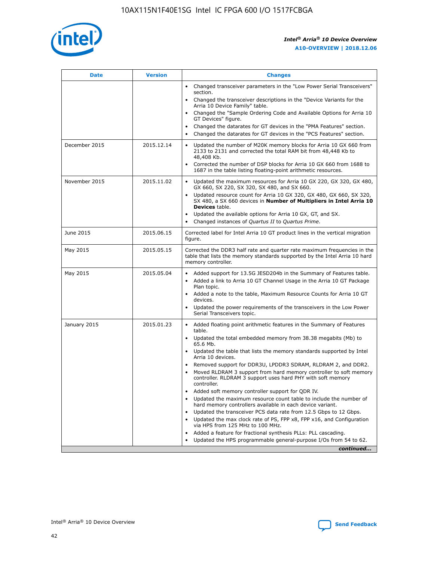

| <b>Date</b>   | <b>Version</b> | <b>Changes</b>                                                                                                                                                               |
|---------------|----------------|------------------------------------------------------------------------------------------------------------------------------------------------------------------------------|
|               |                | Changed transceiver parameters in the "Low Power Serial Transceivers"<br>$\bullet$<br>section.                                                                               |
|               |                | • Changed the transceiver descriptions in the "Device Variants for the<br>Arria 10 Device Family" table.                                                                     |
|               |                | • Changed the "Sample Ordering Code and Available Options for Arria 10<br>GT Devices" figure.                                                                                |
|               |                | Changed the datarates for GT devices in the "PMA Features" section.                                                                                                          |
|               |                | Changed the datarates for GT devices in the "PCS Features" section.<br>$\bullet$                                                                                             |
| December 2015 | 2015.12.14     | Updated the number of M20K memory blocks for Arria 10 GX 660 from<br>2133 to 2131 and corrected the total RAM bit from 48,448 Kb to<br>48,408 Kb.                            |
|               |                | Corrected the number of DSP blocks for Arria 10 GX 660 from 1688 to<br>$\bullet$<br>1687 in the table listing floating-point arithmetic resources.                           |
| November 2015 | 2015.11.02     | Updated the maximum resources for Arria 10 GX 220, GX 320, GX 480,<br>GX 660, SX 220, SX 320, SX 480, and SX 660.                                                            |
|               |                | Updated resource count for Arria 10 GX 320, GX 480, GX 660, SX 320,<br>SX 480, a SX 660 devices in Number of Multipliers in Intel Arria 10<br><b>Devices</b> table.          |
|               |                | Updated the available options for Arria 10 GX, GT, and SX.<br>$\bullet$                                                                                                      |
|               |                | Changed instances of Quartus II to Quartus Prime.<br>$\bullet$                                                                                                               |
| June 2015     | 2015.06.15     | Corrected label for Intel Arria 10 GT product lines in the vertical migration<br>figure.                                                                                     |
| May 2015      | 2015.05.15     | Corrected the DDR3 half rate and quarter rate maximum frequencies in the<br>table that lists the memory standards supported by the Intel Arria 10 hard<br>memory controller. |
| May 2015      | 2015.05.04     | • Added support for 13.5G JESD204b in the Summary of Features table.<br>Added a link to Arria 10 GT Channel Usage in the Arria 10 GT Package<br>$\bullet$<br>Plan topic.     |
|               |                | • Added a note to the table, Maximum Resource Counts for Arria 10 GT<br>devices.                                                                                             |
|               |                | • Updated the power requirements of the transceivers in the Low Power<br>Serial Transceivers topic.                                                                          |
| January 2015  | 2015.01.23     | • Added floating point arithmetic features in the Summary of Features<br>table.                                                                                              |
|               |                | • Updated the total embedded memory from 38.38 megabits (Mb) to<br>65.6 Mb.                                                                                                  |
|               |                | • Updated the table that lists the memory standards supported by Intel<br>Arria 10 devices.                                                                                  |
|               |                | Removed support for DDR3U, LPDDR3 SDRAM, RLDRAM 2, and DDR2.                                                                                                                 |
|               |                | Moved RLDRAM 3 support from hard memory controller to soft memory<br>controller. RLDRAM 3 support uses hard PHY with soft memory<br>controller.                              |
|               |                | Added soft memory controller support for QDR IV.                                                                                                                             |
|               |                | Updated the maximum resource count table to include the number of<br>hard memory controllers available in each device variant.                                               |
|               |                | Updated the transceiver PCS data rate from 12.5 Gbps to 12 Gbps.                                                                                                             |
|               |                | Updated the max clock rate of PS, FPP x8, FPP x16, and Configuration<br>via HPS from 125 MHz to 100 MHz.                                                                     |
|               |                | Added a feature for fractional synthesis PLLs: PLL cascading.                                                                                                                |
|               |                | Updated the HPS programmable general-purpose I/Os from 54 to 62.<br>$\bullet$                                                                                                |
|               |                | continued                                                                                                                                                                    |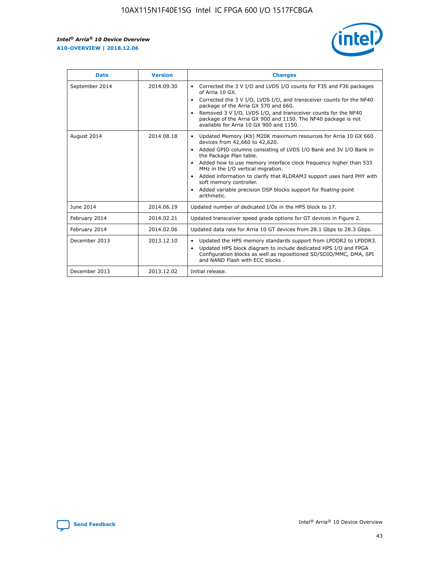

| <b>Date</b>    | <b>Version</b> | <b>Changes</b>                                                                                                                                                                                                                                                                                                                                                                                                                                                                                                                                      |
|----------------|----------------|-----------------------------------------------------------------------------------------------------------------------------------------------------------------------------------------------------------------------------------------------------------------------------------------------------------------------------------------------------------------------------------------------------------------------------------------------------------------------------------------------------------------------------------------------------|
| September 2014 | 2014.09.30     | Corrected the 3 V I/O and LVDS I/O counts for F35 and F36 packages<br>$\bullet$<br>of Arria 10 GX.<br>Corrected the 3 V I/O, LVDS I/O, and transceiver counts for the NF40<br>$\bullet$<br>package of the Arria GX 570 and 660.<br>Removed 3 V I/O, LVDS I/O, and transceiver counts for the NF40<br>$\bullet$<br>package of the Arria GX 900 and 1150. The NF40 package is not<br>available for Arria 10 GX 900 and 1150.                                                                                                                          |
| August 2014    | 2014.08.18     | Updated Memory (Kb) M20K maximum resources for Arria 10 GX 660<br>devices from 42,660 to 42,620.<br>Added GPIO columns consisting of LVDS I/O Bank and 3V I/O Bank in<br>$\bullet$<br>the Package Plan table.<br>Added how to use memory interface clock frequency higher than 533<br>$\bullet$<br>MHz in the I/O vertical migration.<br>Added information to clarify that RLDRAM3 support uses hard PHY with<br>$\bullet$<br>soft memory controller.<br>Added variable precision DSP blocks support for floating-point<br>$\bullet$<br>arithmetic. |
| June 2014      | 2014.06.19     | Updated number of dedicated I/Os in the HPS block to 17.                                                                                                                                                                                                                                                                                                                                                                                                                                                                                            |
| February 2014  | 2014.02.21     | Updated transceiver speed grade options for GT devices in Figure 2.                                                                                                                                                                                                                                                                                                                                                                                                                                                                                 |
| February 2014  | 2014.02.06     | Updated data rate for Arria 10 GT devices from 28.1 Gbps to 28.3 Gbps.                                                                                                                                                                                                                                                                                                                                                                                                                                                                              |
| December 2013  | 2013.12.10     | Updated the HPS memory standards support from LPDDR2 to LPDDR3.<br>Updated HPS block diagram to include dedicated HPS I/O and FPGA<br>$\bullet$<br>Configuration blocks as well as repositioned SD/SDIO/MMC, DMA, SPI<br>and NAND Flash with ECC blocks.                                                                                                                                                                                                                                                                                            |
| December 2013  | 2013.12.02     | Initial release.                                                                                                                                                                                                                                                                                                                                                                                                                                                                                                                                    |